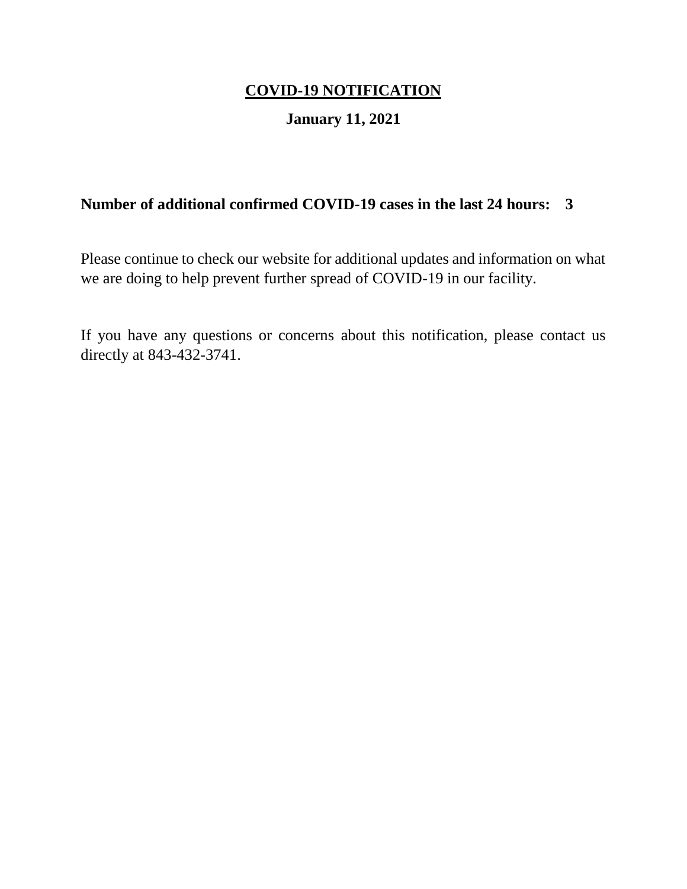## **January 11, 2021**

## **Number of additional confirmed COVID-19 cases in the last 24 hours: 3**

Please continue to check our website for additional updates and information on what we are doing to help prevent further spread of COVID-19 in our facility.

If you have any questions or concerns about this notification, please contact us directly at 843-432-3741.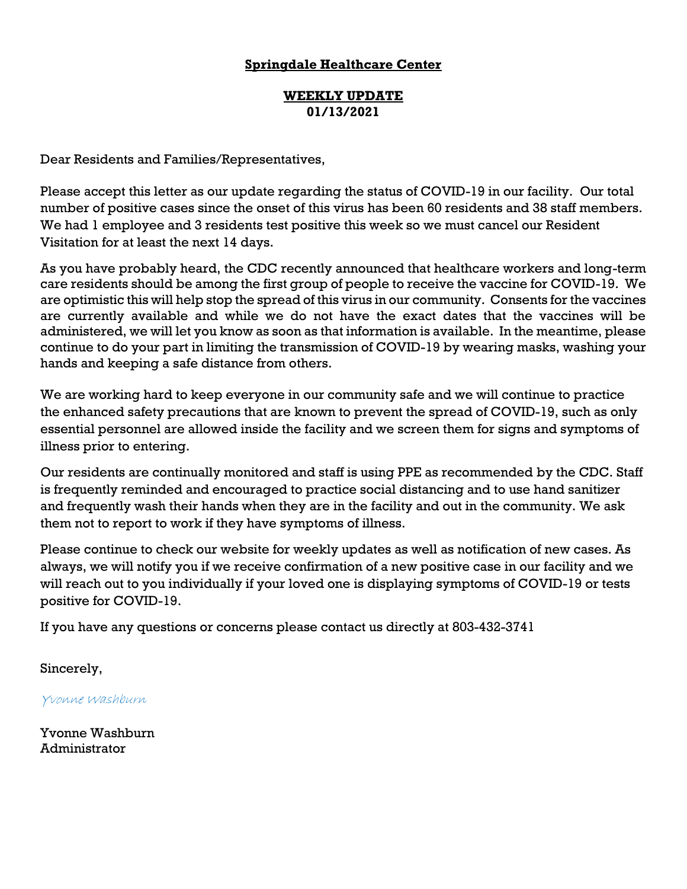#### **WEEKLY UPDATE 01/13/2021**

Dear Residents and Families/Representatives,

Please accept this letter as our update regarding the status of COVID-19 in our facility. Our total number of positive cases since the onset of this virus has been 60 residents and 38 staff members. We had 1 employee and 3 residents test positive this week so we must cancel our Resident Visitation for at least the next 14 days.

As you have probably heard, the CDC recently announced that healthcare workers and long-term care residents should be among the first group of people to receive the vaccine for COVID-19. We are optimistic this will help stop the spread of this virus in our community. Consents for the vaccines are currently available and while we do not have the exact dates that the vaccines will be administered, we will let you know as soon as that information is available. In the meantime, please continue to do your part in limiting the transmission of COVID-19 by wearing masks, washing your hands and keeping a safe distance from others.

We are working hard to keep everyone in our community safe and we will continue to practice the enhanced safety precautions that are known to prevent the spread of COVID-19, such as only essential personnel are allowed inside the facility and we screen them for signs and symptoms of illness prior to entering.

Our residents are continually monitored and staff is using PPE as recommended by the CDC. Staff is frequently reminded and encouraged to practice social distancing and to use hand sanitizer and frequently wash their hands when they are in the facility and out in the community. We ask them not to report to work if they have symptoms of illness.

Please continue to check our website for weekly updates as well as notification of new cases. As always, we will notify you if we receive confirmation of a new positive case in our facility and we will reach out to you individually if your loved one is displaying symptoms of COVID-19 or tests positive for COVID-19.

If you have any questions or concerns please contact us directly at 803-432-3741

Sincerely,

Yvonne Washburn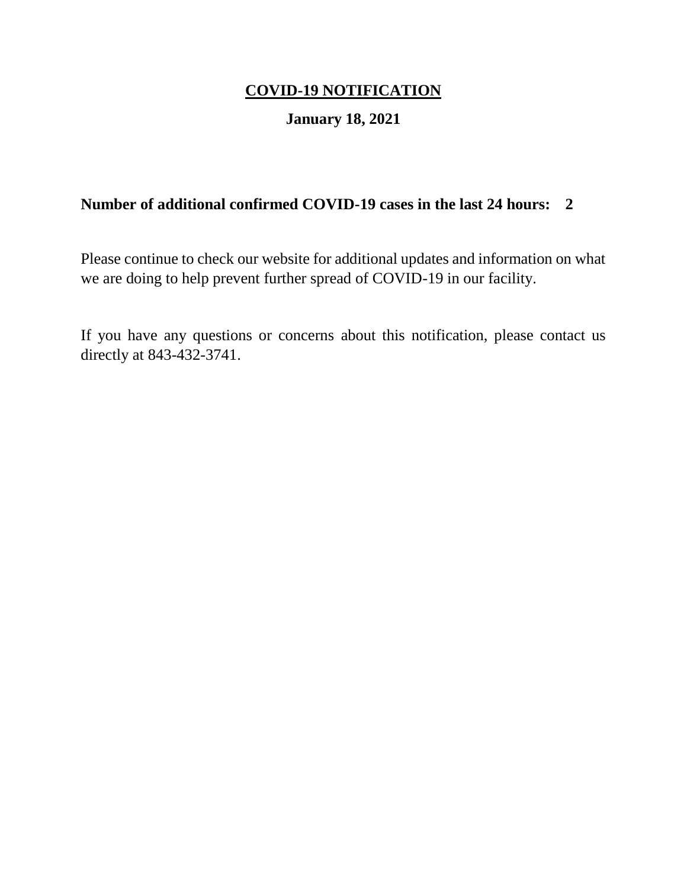## **January 18, 2021**

## **Number of additional confirmed COVID-19 cases in the last 24 hours: 2**

Please continue to check our website for additional updates and information on what we are doing to help prevent further spread of COVID-19 in our facility.

If you have any questions or concerns about this notification, please contact us directly at 843-432-3741.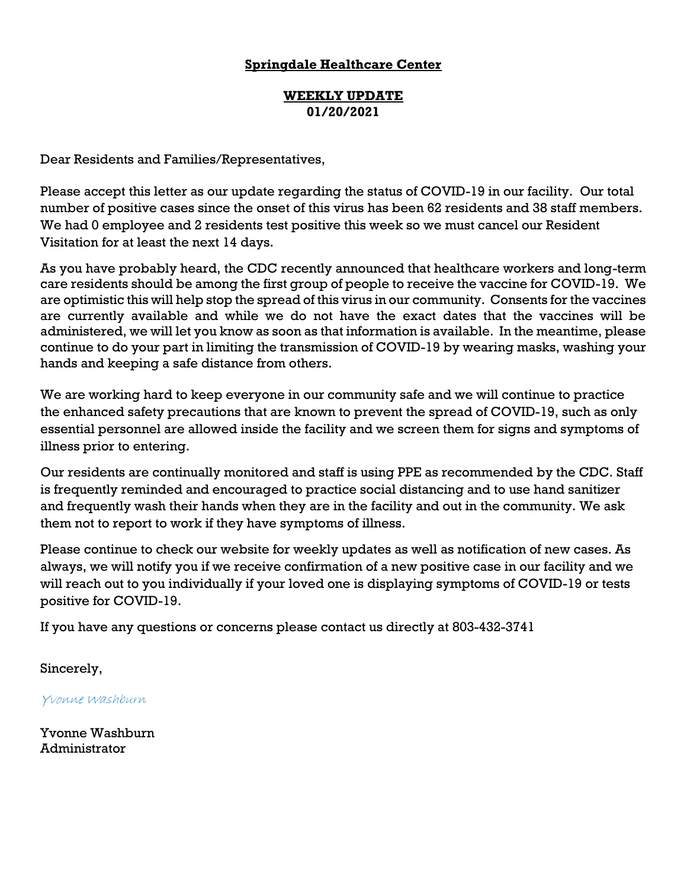#### **WEEKLY UPDATE 01/20/2021**

Dear Residents and Families/Representatives,

Please accept this letter as our update regarding the status of COVID-19 in our facility. Our total number of positive cases since the onset of this virus has been 62 residents and 38 staff members. We had 0 employee and 2 residents test positive this week so we must cancel our Resident Visitation for at least the next 14 days.

As you have probably heard, the CDC recently announced that healthcare workers and long-term care residents should be among the first group of people to receive the vaccine for COVID-19. We are optimistic this will help stop the spread of this virus in our community. Consents for the vaccines are currently available and while we do not have the exact dates that the vaccines will be administered, we will let you know as soon as that information is available. In the meantime, please continue to do your part in limiting the transmission of COVID-19 by wearing masks, washing your hands and keeping a safe distance from others.

We are working hard to keep everyone in our community safe and we will continue to practice the enhanced safety precautions that are known to prevent the spread of COVID-19, such as only essential personnel are allowed inside the facility and we screen them for signs and symptoms of illness prior to entering.

Our residents are continually monitored and staff is using PPE as recommended by the CDC. Staff is frequently reminded and encouraged to practice social distancing and to use hand sanitizer and frequently wash their hands when they are in the facility and out in the community. We ask them not to report to work if they have symptoms of illness.

Please continue to check our website for weekly updates as well as notification of new cases. As always, we will notify you if we receive confirmation of a new positive case in our facility and we will reach out to you individually if your loved one is displaying symptoms of COVID-19 or tests positive for COVID-19.

If you have any questions or concerns please contact us directly at 803-432-3741

Sincerely,

Yvonne Washburn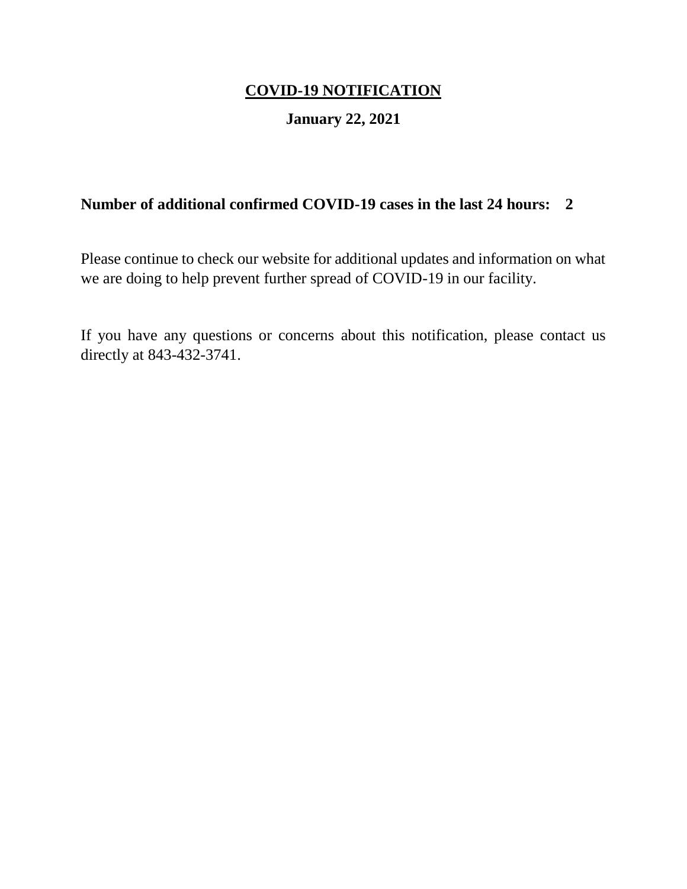## **January 22, 2021**

## **Number of additional confirmed COVID-19 cases in the last 24 hours: 2**

Please continue to check our website for additional updates and information on what we are doing to help prevent further spread of COVID-19 in our facility.

If you have any questions or concerns about this notification, please contact us directly at 843-432-3741.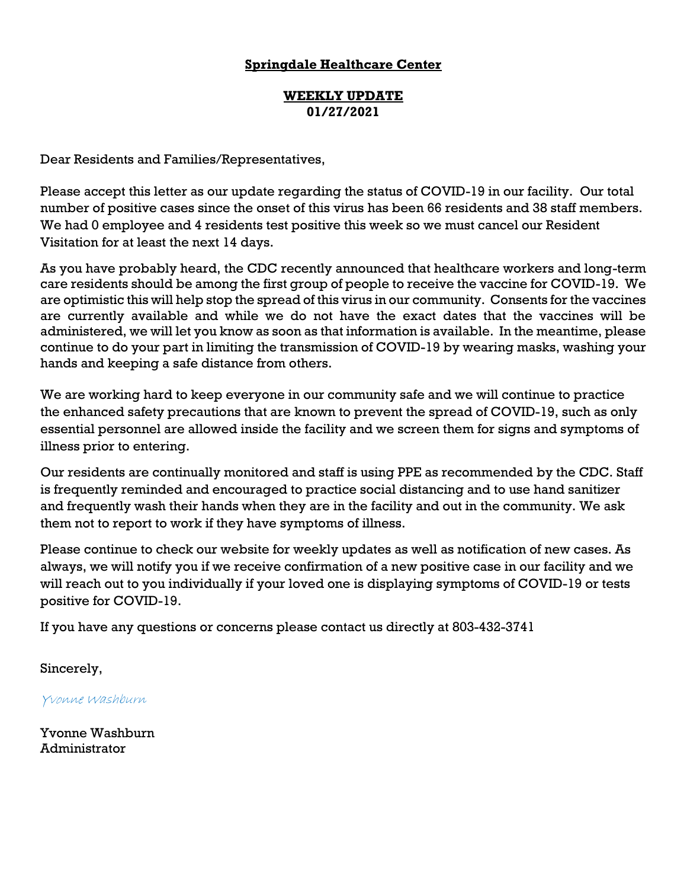#### **WEEKLY UPDATE 01/27/2021**

Dear Residents and Families/Representatives,

Please accept this letter as our update regarding the status of COVID-19 in our facility. Our total number of positive cases since the onset of this virus has been 66 residents and 38 staff members. We had 0 employee and 4 residents test positive this week so we must cancel our Resident Visitation for at least the next 14 days.

As you have probably heard, the CDC recently announced that healthcare workers and long-term care residents should be among the first group of people to receive the vaccine for COVID-19. We are optimistic this will help stop the spread of this virus in our community. Consents for the vaccines are currently available and while we do not have the exact dates that the vaccines will be administered, we will let you know as soon as that information is available. In the meantime, please continue to do your part in limiting the transmission of COVID-19 by wearing masks, washing your hands and keeping a safe distance from others.

We are working hard to keep everyone in our community safe and we will continue to practice the enhanced safety precautions that are known to prevent the spread of COVID-19, such as only essential personnel are allowed inside the facility and we screen them for signs and symptoms of illness prior to entering.

Our residents are continually monitored and staff is using PPE as recommended by the CDC. Staff is frequently reminded and encouraged to practice social distancing and to use hand sanitizer and frequently wash their hands when they are in the facility and out in the community. We ask them not to report to work if they have symptoms of illness.

Please continue to check our website for weekly updates as well as notification of new cases. As always, we will notify you if we receive confirmation of a new positive case in our facility and we will reach out to you individually if your loved one is displaying symptoms of COVID-19 or tests positive for COVID-19.

If you have any questions or concerns please contact us directly at 803-432-3741

Sincerely,

Yvonne Washburn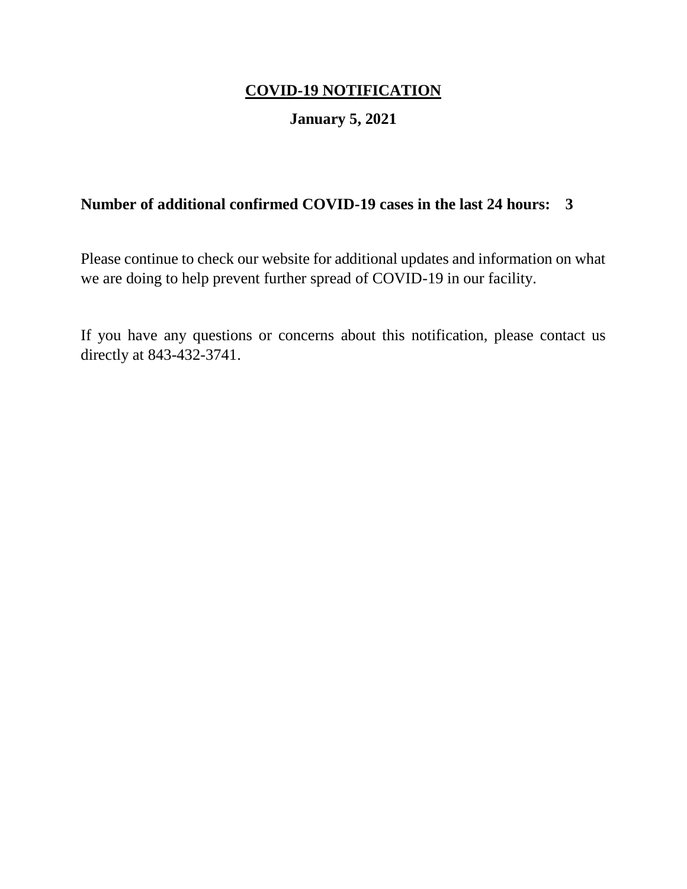## **January 5, 2021**

## **Number of additional confirmed COVID-19 cases in the last 24 hours: 3**

Please continue to check our website for additional updates and information on what we are doing to help prevent further spread of COVID-19 in our facility.

If you have any questions or concerns about this notification, please contact us directly at 843-432-3741.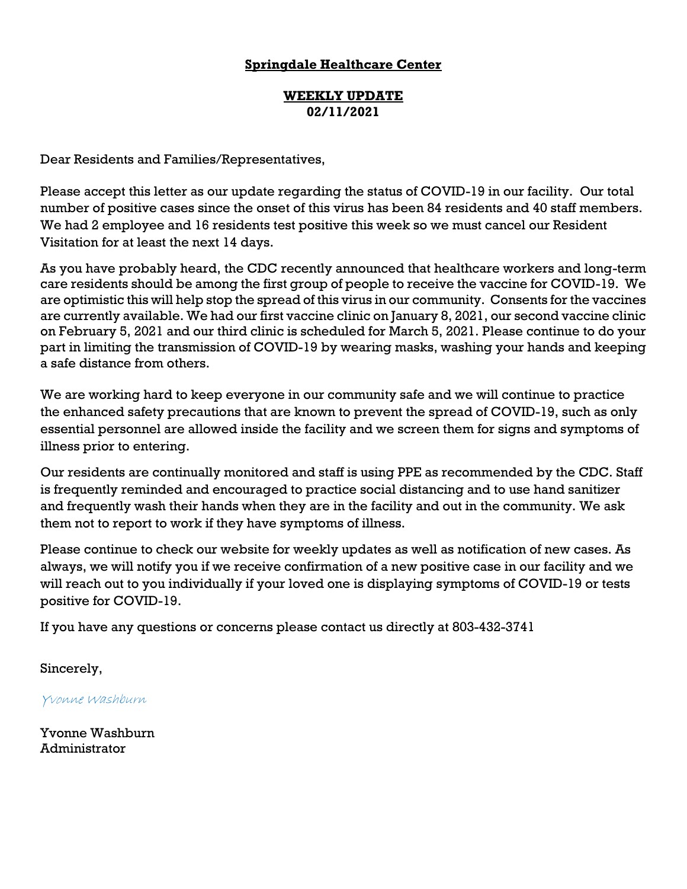#### **WEEKLY UPDATE 02/11/2021**

Dear Residents and Families/Representatives,

Please accept this letter as our update regarding the status of COVID-19 in our facility. Our total number of positive cases since the onset of this virus has been 84 residents and 40 staff members. We had 2 employee and 16 residents test positive this week so we must cancel our Resident Visitation for at least the next 14 days.

As you have probably heard, the CDC recently announced that healthcare workers and long-term care residents should be among the first group of people to receive the vaccine for COVID-19. We are optimistic this will help stop the spread of this virus in our community. Consents for the vaccines are currently available. We had our first vaccine clinic on January 8, 2021, our second vaccine clinic on February 5, 2021 and our third clinic is scheduled for March 5, 2021. Please continue to do your part in limiting the transmission of COVID-19 by wearing masks, washing your hands and keeping a safe distance from others.

We are working hard to keep everyone in our community safe and we will continue to practice the enhanced safety precautions that are known to prevent the spread of COVID-19, such as only essential personnel are allowed inside the facility and we screen them for signs and symptoms of illness prior to entering.

Our residents are continually monitored and staff is using PPE as recommended by the CDC. Staff is frequently reminded and encouraged to practice social distancing and to use hand sanitizer and frequently wash their hands when they are in the facility and out in the community. We ask them not to report to work if they have symptoms of illness.

Please continue to check our website for weekly updates as well as notification of new cases. As always, we will notify you if we receive confirmation of a new positive case in our facility and we will reach out to you individually if your loved one is displaying symptoms of COVID-19 or tests positive for COVID-19.

If you have any questions or concerns please contact us directly at 803-432-3741

Sincerely,

Yvonne Washburn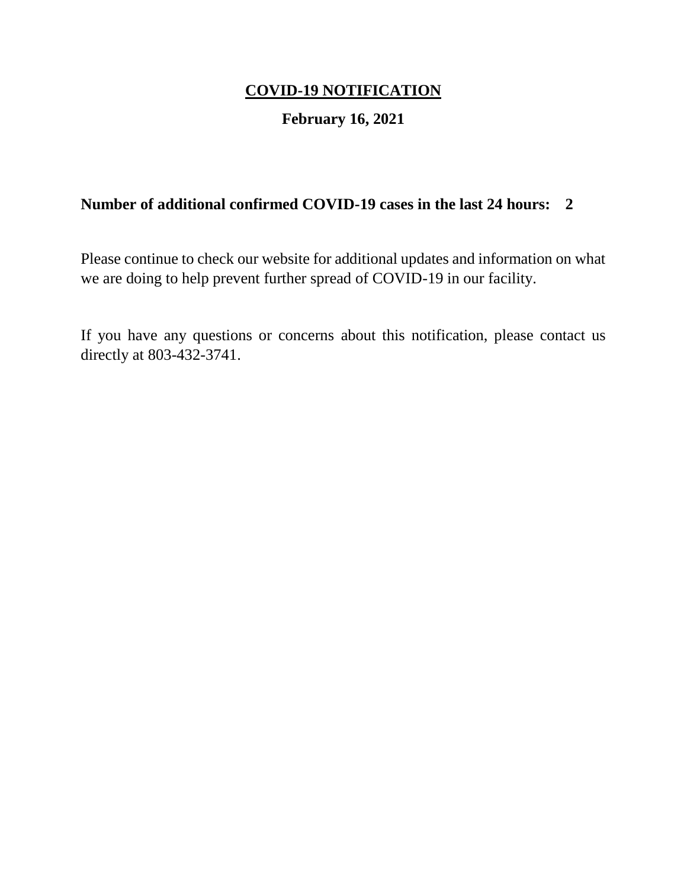## **February 16, 2021**

## **Number of additional confirmed COVID-19 cases in the last 24 hours: 2**

Please continue to check our website for additional updates and information on what we are doing to help prevent further spread of COVID-19 in our facility.

If you have any questions or concerns about this notification, please contact us directly at 803-432-3741.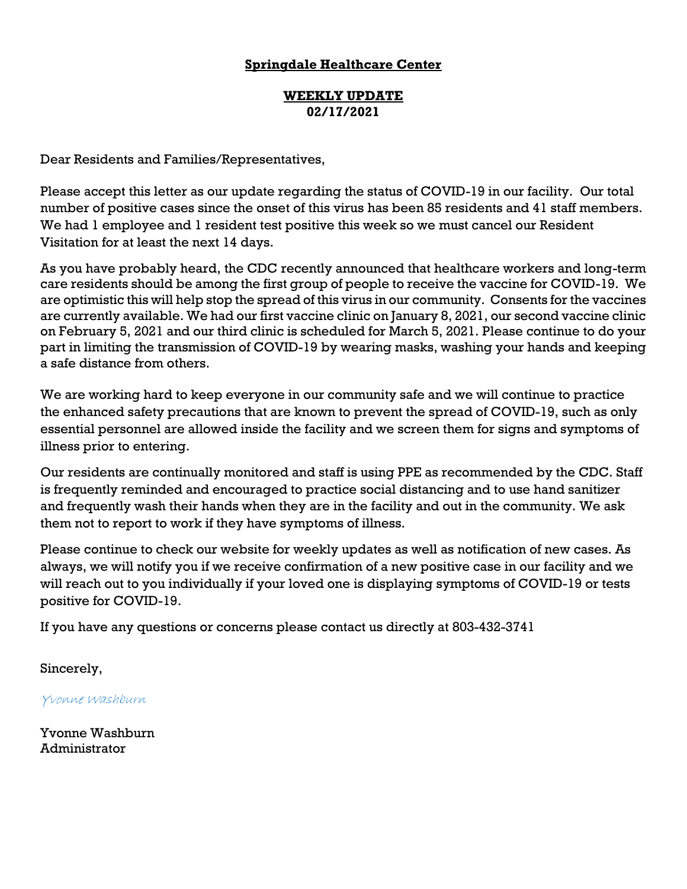#### **WEEKLY UPDATE 02/17/2021**

Dear Residents and Families/Representatives,

Please accept this letter as our update regarding the status of COVID-19 in our facility. Our total number of positive cases since the onset of this virus has been 85 residents and 41 staff members. We had 1 employee and 1 resident test positive this week so we must cancel our Resident Visitation for at least the next 14 days.

As you have probably heard, the CDC recently announced that healthcare workers and long-term care residents should be among the first group of people to receive the vaccine for COVID-19. We are optimistic this will help stop the spread of this virus in our community. Consents for the vaccines are currently available. We had our first vaccine clinic on January 8, 2021, our second vaccine clinic on February 5, 2021 and our third clinic is scheduled for March 5, 2021. Please continue to do your part in limiting the transmission of COVID-19 by wearing masks, washing your hands and keeping a safe distance from others.

We are working hard to keep everyone in our community safe and we will continue to practice the enhanced safety precautions that are known to prevent the spread of COVID-19, such as only essential personnel are allowed inside the facility and we screen them for signs and symptoms of illness prior to entering.

Our residents are continually monitored and staff is using PPE as recommended by the CDC. Staff is frequently reminded and encouraged to practice social distancing and to use hand sanitizer and frequently wash their hands when they are in the facility and out in the community. We ask them not to report to work if they have symptoms of illness.

Please continue to check our website for weekly updates as well as notification of new cases. As always, we will notify you if we receive confirmation of a new positive case in our facility and we will reach out to you individually if your loved one is displaying symptoms of COVID-19 or tests positive for COVID-19.

If you have any questions or concerns please contact us directly at 803-432-3741

Sincerely,

Yvonne Washburn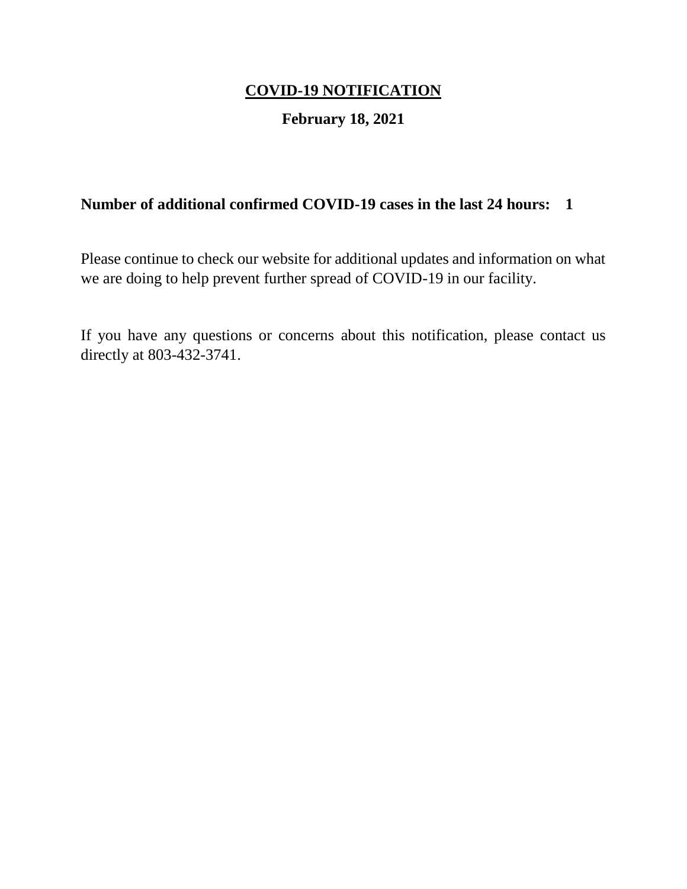## **February 18, 2021**

## **Number of additional confirmed COVID-19 cases in the last 24 hours: 1**

Please continue to check our website for additional updates and information on what we are doing to help prevent further spread of COVID-19 in our facility.

If you have any questions or concerns about this notification, please contact us directly at 803-432-3741.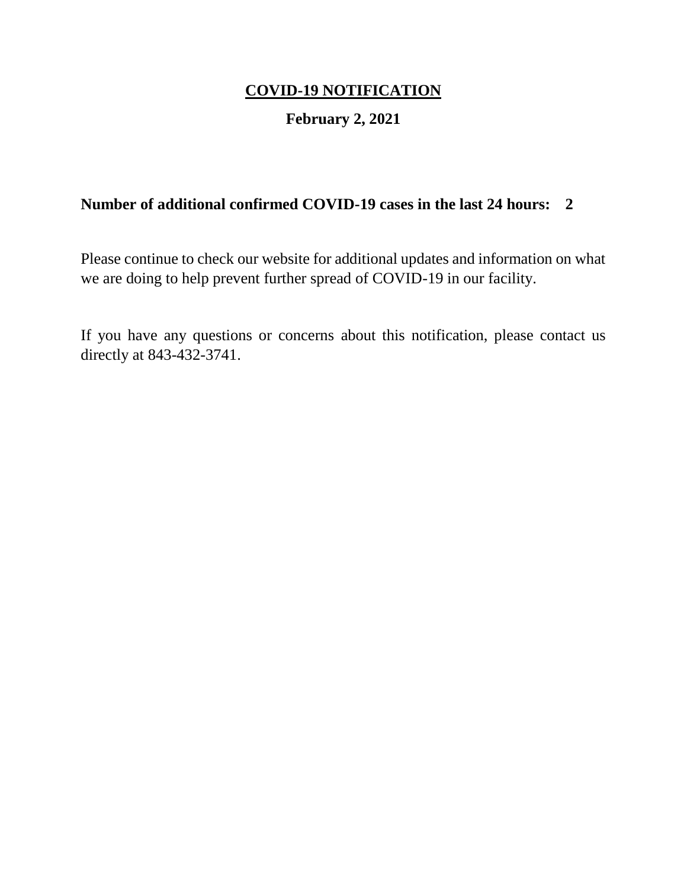## **February 2, 2021**

## **Number of additional confirmed COVID-19 cases in the last 24 hours: 2**

Please continue to check our website for additional updates and information on what we are doing to help prevent further spread of COVID-19 in our facility.

If you have any questions or concerns about this notification, please contact us directly at 843-432-3741.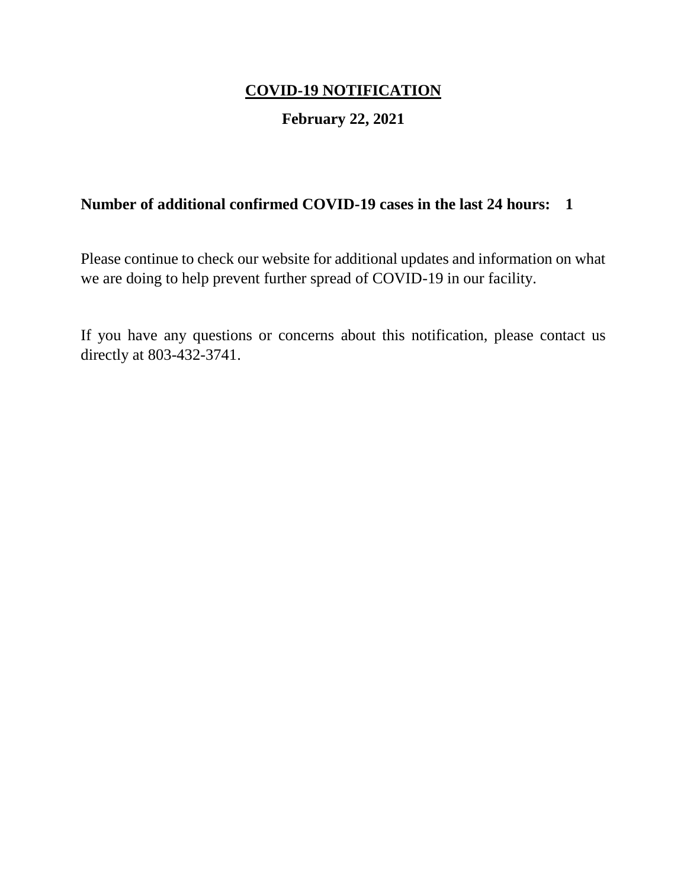## **February 22, 2021**

## **Number of additional confirmed COVID-19 cases in the last 24 hours: 1**

Please continue to check our website for additional updates and information on what we are doing to help prevent further spread of COVID-19 in our facility.

If you have any questions or concerns about this notification, please contact us directly at 803-432-3741.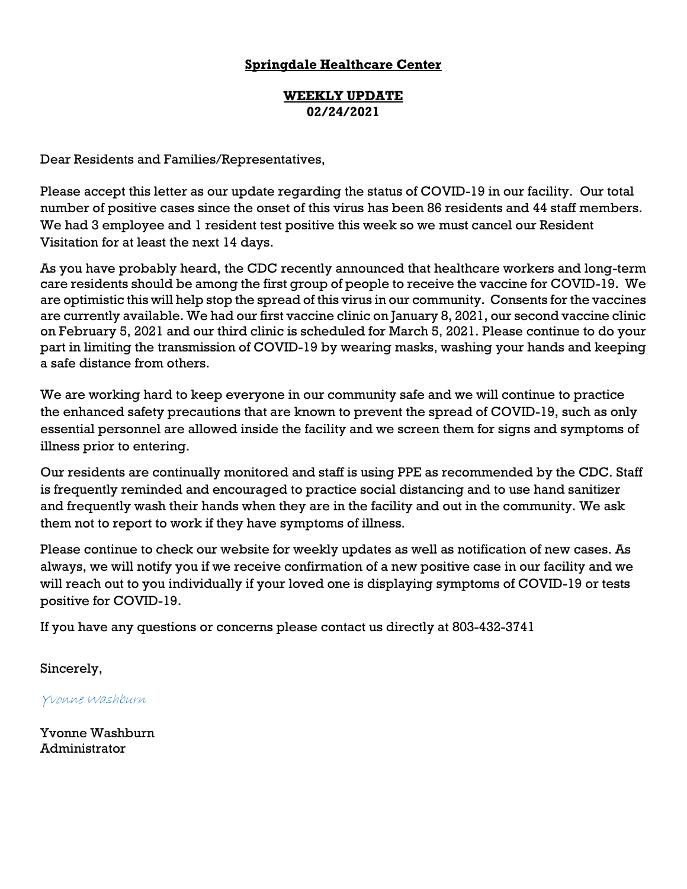#### **WEEKLY UPDATE 02/24/2021**

Dear Residents and Families/Representatives,

Please accept this letter as our update regarding the status of COVID-19 in our facility. Our total number of positive cases since the onset of this virus has been 86 residents and 44 staff members. We had 3 employee and 1 resident test positive this week so we must cancel our Resident Visitation for at least the next 14 days.

As you have probably heard, the CDC recently announced that healthcare workers and long-term care residents should be among the first group of people to receive the vaccine for COVID-19. We are optimistic this will help stop the spread of this virus in our community. Consents for the vaccines are currently available. We had our first vaccine clinic on January 8, 2021, our second vaccine clinic on February 5, 2021 and our third clinic is scheduled for March 5, 2021. Please continue to do your part in limiting the transmission of COVID-19 by wearing masks, washing your hands and keeping a safe distance from others.

We are working hard to keep everyone in our community safe and we will continue to practice the enhanced safety precautions that are known to prevent the spread of COVID-19, such as only essential personnel are allowed inside the facility and we screen them for signs and symptoms of illness prior to entering.

Our residents are continually monitored and staff is using PPE as recommended by the CDC. Staff is frequently reminded and encouraged to practice social distancing and to use hand sanitizer and frequently wash their hands when they are in the facility and out in the community. We ask them not to report to work if they have symptoms of illness.

Please continue to check our website for weekly updates as well as notification of new cases. As always, we will notify you if we receive confirmation of a new positive case in our facility and we will reach out to you individually if your loved one is displaying symptoms of COVID-19 or tests positive for COVID-19.

If you have any questions or concerns please contact us directly at 803-432-3741

Sincerely,

Yvonne Washburn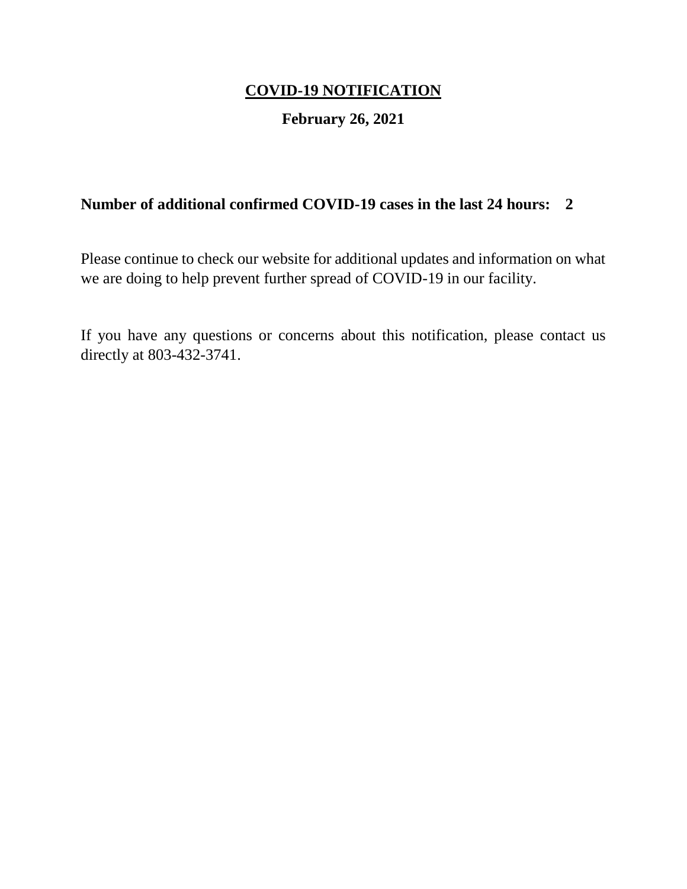## **February 26, 2021**

## **Number of additional confirmed COVID-19 cases in the last 24 hours: 2**

Please continue to check our website for additional updates and information on what we are doing to help prevent further spread of COVID-19 in our facility.

If you have any questions or concerns about this notification, please contact us directly at 803-432-3741.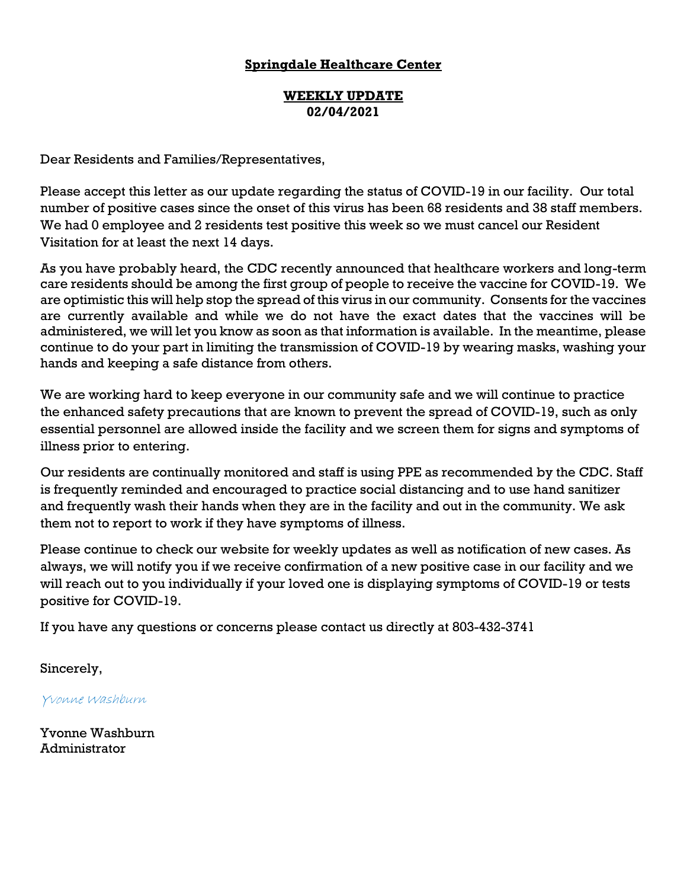#### **WEEKLY UPDATE 02/04/2021**

Dear Residents and Families/Representatives,

Please accept this letter as our update regarding the status of COVID-19 in our facility. Our total number of positive cases since the onset of this virus has been 68 residents and 38 staff members. We had 0 employee and 2 residents test positive this week so we must cancel our Resident Visitation for at least the next 14 days.

As you have probably heard, the CDC recently announced that healthcare workers and long-term care residents should be among the first group of people to receive the vaccine for COVID-19. We are optimistic this will help stop the spread of this virus in our community. Consents for the vaccines are currently available and while we do not have the exact dates that the vaccines will be administered, we will let you know as soon as that information is available. In the meantime, please continue to do your part in limiting the transmission of COVID-19 by wearing masks, washing your hands and keeping a safe distance from others.

We are working hard to keep everyone in our community safe and we will continue to practice the enhanced safety precautions that are known to prevent the spread of COVID-19, such as only essential personnel are allowed inside the facility and we screen them for signs and symptoms of illness prior to entering.

Our residents are continually monitored and staff is using PPE as recommended by the CDC. Staff is frequently reminded and encouraged to practice social distancing and to use hand sanitizer and frequently wash their hands when they are in the facility and out in the community. We ask them not to report to work if they have symptoms of illness.

Please continue to check our website for weekly updates as well as notification of new cases. As always, we will notify you if we receive confirmation of a new positive case in our facility and we will reach out to you individually if your loved one is displaying symptoms of COVID-19 or tests positive for COVID-19.

If you have any questions or concerns please contact us directly at 803-432-3741

Sincerely,

Yvonne Washburn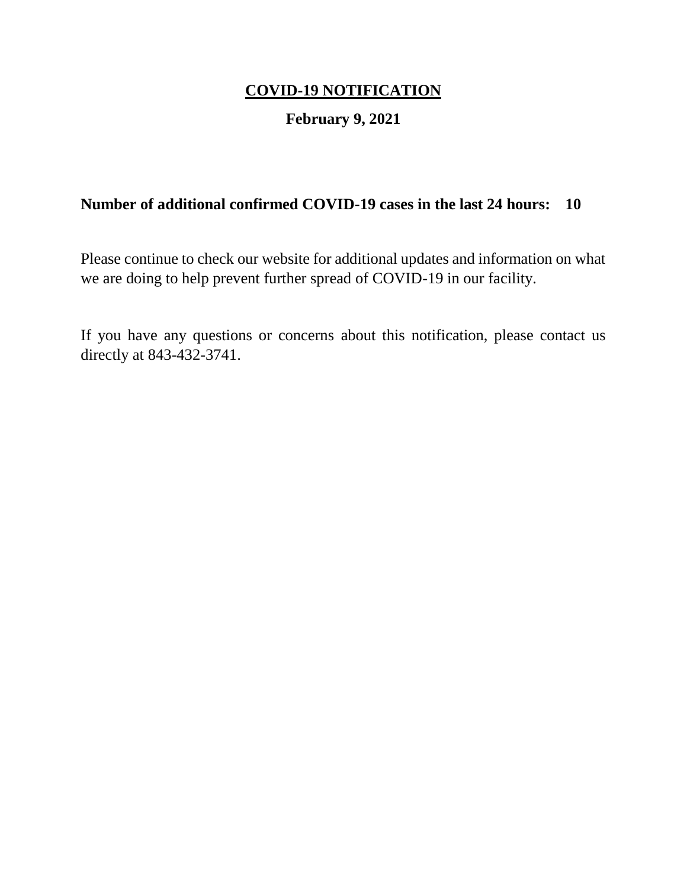## **February 9, 2021**

## **Number of additional confirmed COVID-19 cases in the last 24 hours: 10**

Please continue to check our website for additional updates and information on what we are doing to help prevent further spread of COVID-19 in our facility.

If you have any questions or concerns about this notification, please contact us directly at 843-432-3741.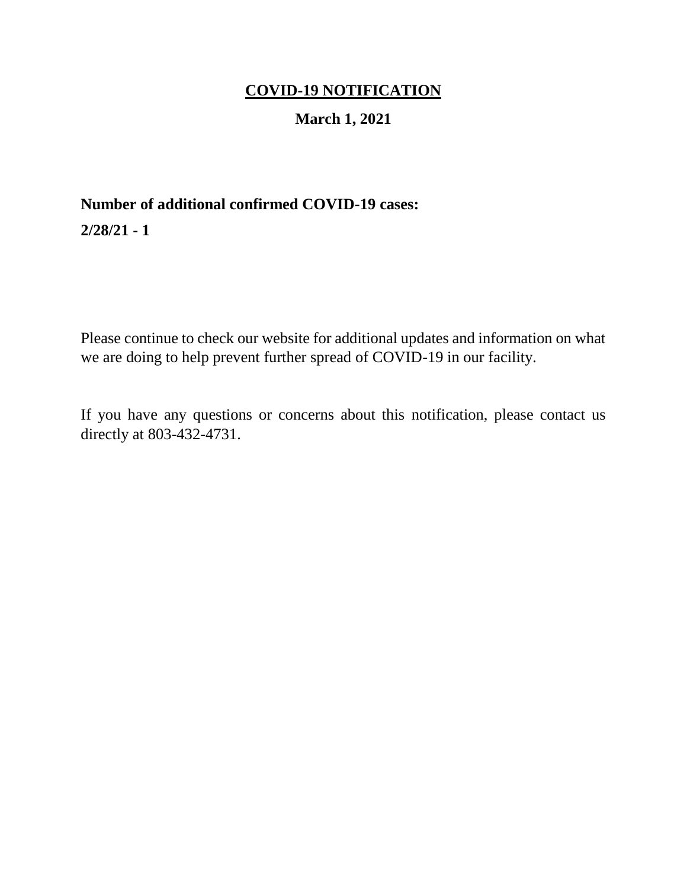## **March 1, 2021**

# **Number of additional confirmed COVID-19 cases:**

**2/28/21 - 1**

Please continue to check our website for additional updates and information on what we are doing to help prevent further spread of COVID-19 in our facility.

If you have any questions or concerns about this notification, please contact us directly at 803-432-4731.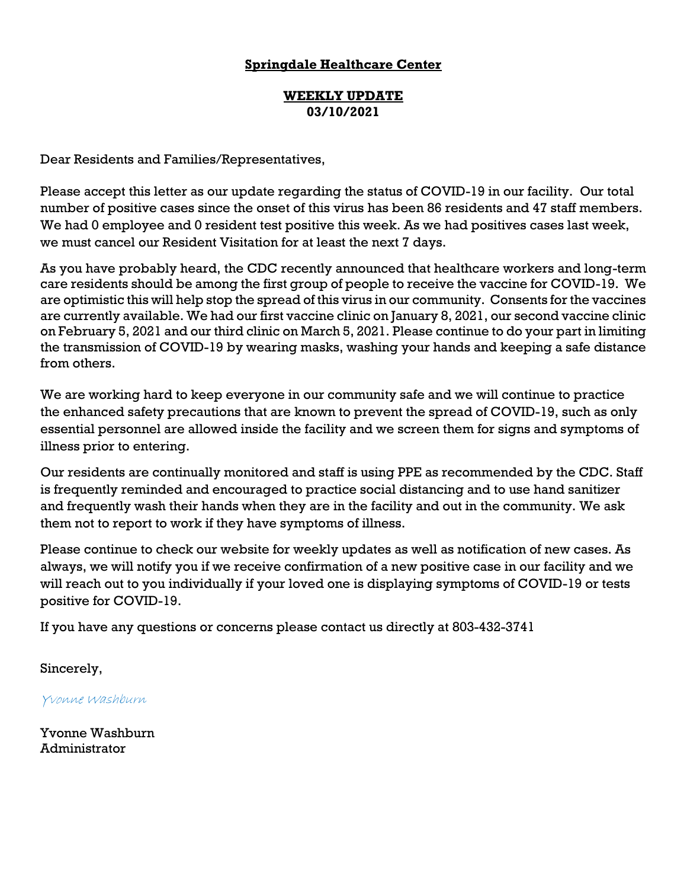#### **WEEKLY UPDATE 03/10/2021**

Dear Residents and Families/Representatives,

Please accept this letter as our update regarding the status of COVID-19 in our facility. Our total number of positive cases since the onset of this virus has been 86 residents and 47 staff members. We had 0 employee and 0 resident test positive this week. As we had positives cases last week, we must cancel our Resident Visitation for at least the next 7 days.

As you have probably heard, the CDC recently announced that healthcare workers and long-term care residents should be among the first group of people to receive the vaccine for COVID-19. We are optimistic this will help stop the spread of this virus in our community. Consents for the vaccines are currently available. We had our first vaccine clinic on January 8, 2021, our second vaccine clinic on February 5, 2021 and our third clinic on March 5, 2021. Please continue to do your part in limiting the transmission of COVID-19 by wearing masks, washing your hands and keeping a safe distance from others.

We are working hard to keep everyone in our community safe and we will continue to practice the enhanced safety precautions that are known to prevent the spread of COVID-19, such as only essential personnel are allowed inside the facility and we screen them for signs and symptoms of illness prior to entering.

Our residents are continually monitored and staff is using PPE as recommended by the CDC. Staff is frequently reminded and encouraged to practice social distancing and to use hand sanitizer and frequently wash their hands when they are in the facility and out in the community. We ask them not to report to work if they have symptoms of illness.

Please continue to check our website for weekly updates as well as notification of new cases. As always, we will notify you if we receive confirmation of a new positive case in our facility and we will reach out to you individually if your loved one is displaying symptoms of COVID-19 or tests positive for COVID-19.

If you have any questions or concerns please contact us directly at 803-432-3741

Sincerely,

Yvonne Washburn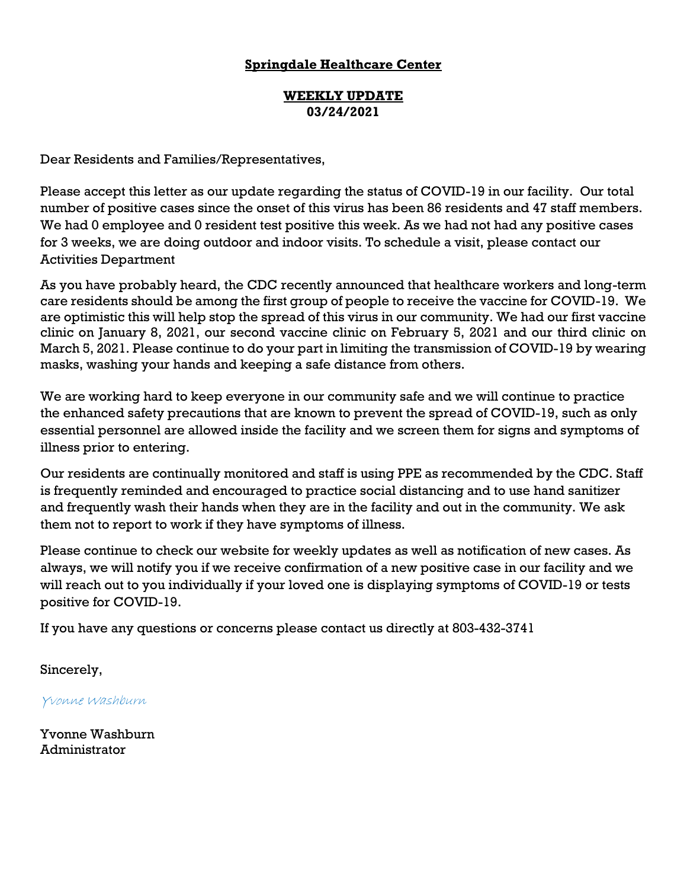#### **WEEKLY UPDATE 03/24/2021**

Dear Residents and Families/Representatives,

Please accept this letter as our update regarding the status of COVID-19 in our facility. Our total number of positive cases since the onset of this virus has been 86 residents and 47 staff members. We had 0 employee and 0 resident test positive this week. As we had not had any positive cases for 3 weeks, we are doing outdoor and indoor visits. To schedule a visit, please contact our Activities Department

As you have probably heard, the CDC recently announced that healthcare workers and long-term care residents should be among the first group of people to receive the vaccine for COVID-19. We are optimistic this will help stop the spread of this virus in our community. We had our first vaccine clinic on January 8, 2021, our second vaccine clinic on February 5, 2021 and our third clinic on March 5, 2021. Please continue to do your part in limiting the transmission of COVID-19 by wearing masks, washing your hands and keeping a safe distance from others.

We are working hard to keep everyone in our community safe and we will continue to practice the enhanced safety precautions that are known to prevent the spread of COVID-19, such as only essential personnel are allowed inside the facility and we screen them for signs and symptoms of illness prior to entering.

Our residents are continually monitored and staff is using PPE as recommended by the CDC. Staff is frequently reminded and encouraged to practice social distancing and to use hand sanitizer and frequently wash their hands when they are in the facility and out in the community. We ask them not to report to work if they have symptoms of illness.

Please continue to check our website for weekly updates as well as notification of new cases. As always, we will notify you if we receive confirmation of a new positive case in our facility and we will reach out to you individually if your loved one is displaying symptoms of COVID-19 or tests positive for COVID-19.

If you have any questions or concerns please contact us directly at 803-432-3741

Sincerely,

Yvonne Washburn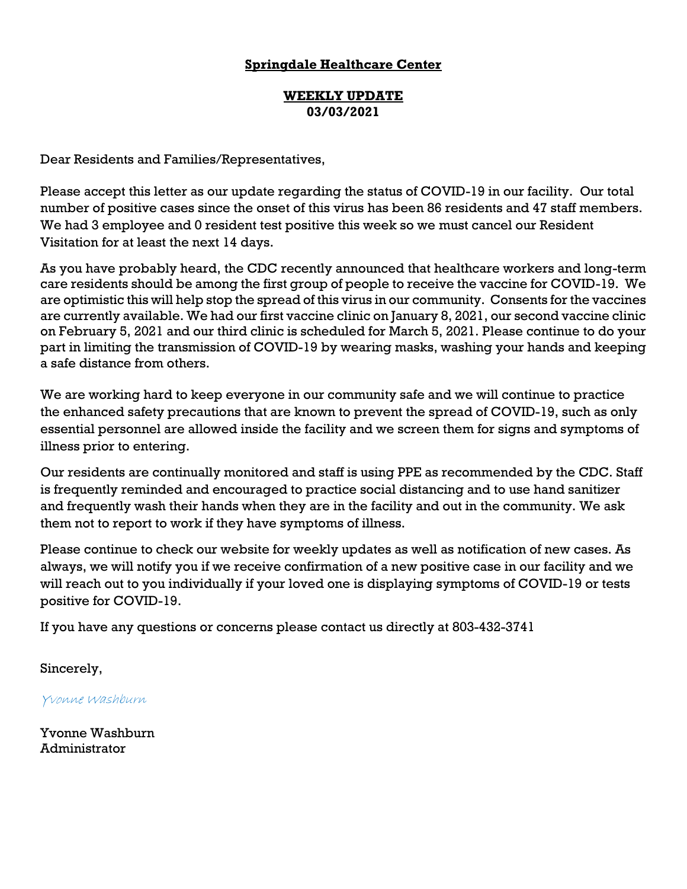#### **WEEKLY UPDATE 03/03/2021**

Dear Residents and Families/Representatives,

Please accept this letter as our update regarding the status of COVID-19 in our facility. Our total number of positive cases since the onset of this virus has been 86 residents and 47 staff members. We had 3 employee and 0 resident test positive this week so we must cancel our Resident Visitation for at least the next 14 days.

As you have probably heard, the CDC recently announced that healthcare workers and long-term care residents should be among the first group of people to receive the vaccine for COVID-19. We are optimistic this will help stop the spread of this virus in our community. Consents for the vaccines are currently available. We had our first vaccine clinic on January 8, 2021, our second vaccine clinic on February 5, 2021 and our third clinic is scheduled for March 5, 2021. Please continue to do your part in limiting the transmission of COVID-19 by wearing masks, washing your hands and keeping a safe distance from others.

We are working hard to keep everyone in our community safe and we will continue to practice the enhanced safety precautions that are known to prevent the spread of COVID-19, such as only essential personnel are allowed inside the facility and we screen them for signs and symptoms of illness prior to entering.

Our residents are continually monitored and staff is using PPE as recommended by the CDC. Staff is frequently reminded and encouraged to practice social distancing and to use hand sanitizer and frequently wash their hands when they are in the facility and out in the community. We ask them not to report to work if they have symptoms of illness.

Please continue to check our website for weekly updates as well as notification of new cases. As always, we will notify you if we receive confirmation of a new positive case in our facility and we will reach out to you individually if your loved one is displaying symptoms of COVID-19 or tests positive for COVID-19.

If you have any questions or concerns please contact us directly at 803-432-3741

Sincerely,

Yvonne Washburn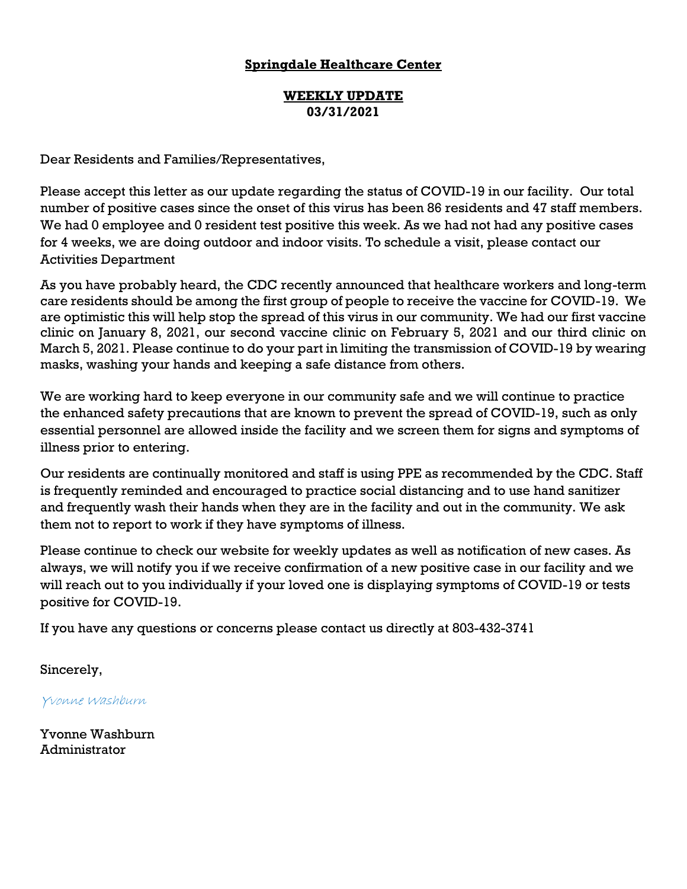#### **WEEKLY UPDATE 03/31/2021**

Dear Residents and Families/Representatives,

Please accept this letter as our update regarding the status of COVID-19 in our facility. Our total number of positive cases since the onset of this virus has been 86 residents and 47 staff members. We had 0 employee and 0 resident test positive this week. As we had not had any positive cases for 4 weeks, we are doing outdoor and indoor visits. To schedule a visit, please contact our Activities Department

As you have probably heard, the CDC recently announced that healthcare workers and long-term care residents should be among the first group of people to receive the vaccine for COVID-19. We are optimistic this will help stop the spread of this virus in our community. We had our first vaccine clinic on January 8, 2021, our second vaccine clinic on February 5, 2021 and our third clinic on March 5, 2021. Please continue to do your part in limiting the transmission of COVID-19 by wearing masks, washing your hands and keeping a safe distance from others.

We are working hard to keep everyone in our community safe and we will continue to practice the enhanced safety precautions that are known to prevent the spread of COVID-19, such as only essential personnel are allowed inside the facility and we screen them for signs and symptoms of illness prior to entering.

Our residents are continually monitored and staff is using PPE as recommended by the CDC. Staff is frequently reminded and encouraged to practice social distancing and to use hand sanitizer and frequently wash their hands when they are in the facility and out in the community. We ask them not to report to work if they have symptoms of illness.

Please continue to check our website for weekly updates as well as notification of new cases. As always, we will notify you if we receive confirmation of a new positive case in our facility and we will reach out to you individually if your loved one is displaying symptoms of COVID-19 or tests positive for COVID-19.

If you have any questions or concerns please contact us directly at 803-432-3741

Sincerely,

Yvonne Washburn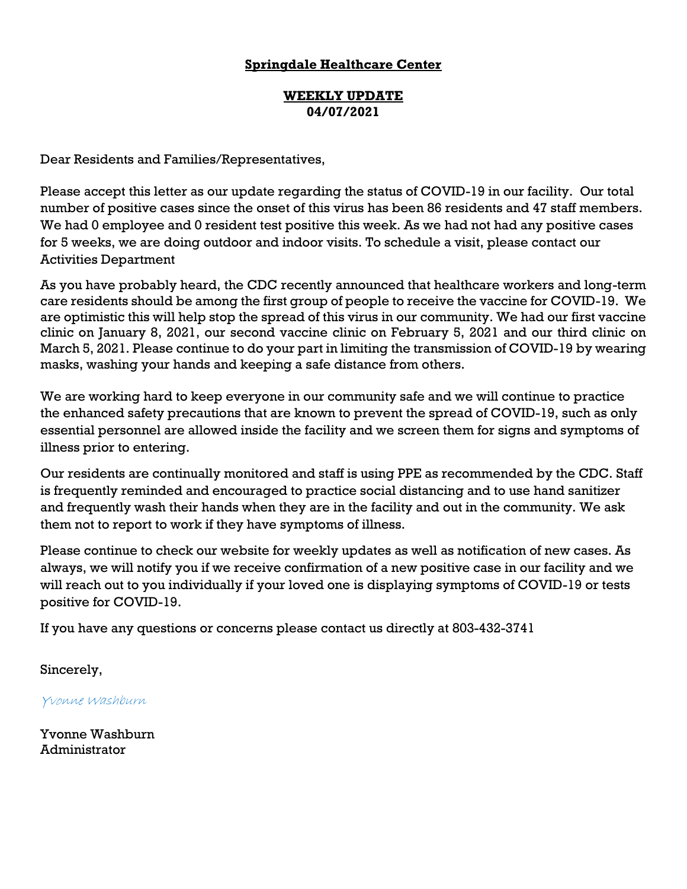#### **WEEKLY UPDATE 04/07/2021**

Dear Residents and Families/Representatives,

Please accept this letter as our update regarding the status of COVID-19 in our facility. Our total number of positive cases since the onset of this virus has been 86 residents and 47 staff members. We had 0 employee and 0 resident test positive this week. As we had not had any positive cases for 5 weeks, we are doing outdoor and indoor visits. To schedule a visit, please contact our Activities Department

As you have probably heard, the CDC recently announced that healthcare workers and long-term care residents should be among the first group of people to receive the vaccine for COVID-19. We are optimistic this will help stop the spread of this virus in our community. We had our first vaccine clinic on January 8, 2021, our second vaccine clinic on February 5, 2021 and our third clinic on March 5, 2021. Please continue to do your part in limiting the transmission of COVID-19 by wearing masks, washing your hands and keeping a safe distance from others.

We are working hard to keep everyone in our community safe and we will continue to practice the enhanced safety precautions that are known to prevent the spread of COVID-19, such as only essential personnel are allowed inside the facility and we screen them for signs and symptoms of illness prior to entering.

Our residents are continually monitored and staff is using PPE as recommended by the CDC. Staff is frequently reminded and encouraged to practice social distancing and to use hand sanitizer and frequently wash their hands when they are in the facility and out in the community. We ask them not to report to work if they have symptoms of illness.

Please continue to check our website for weekly updates as well as notification of new cases. As always, we will notify you if we receive confirmation of a new positive case in our facility and we will reach out to you individually if your loved one is displaying symptoms of COVID-19 or tests positive for COVID-19.

If you have any questions or concerns please contact us directly at 803-432-3741

Sincerely,

Yvonne Washburn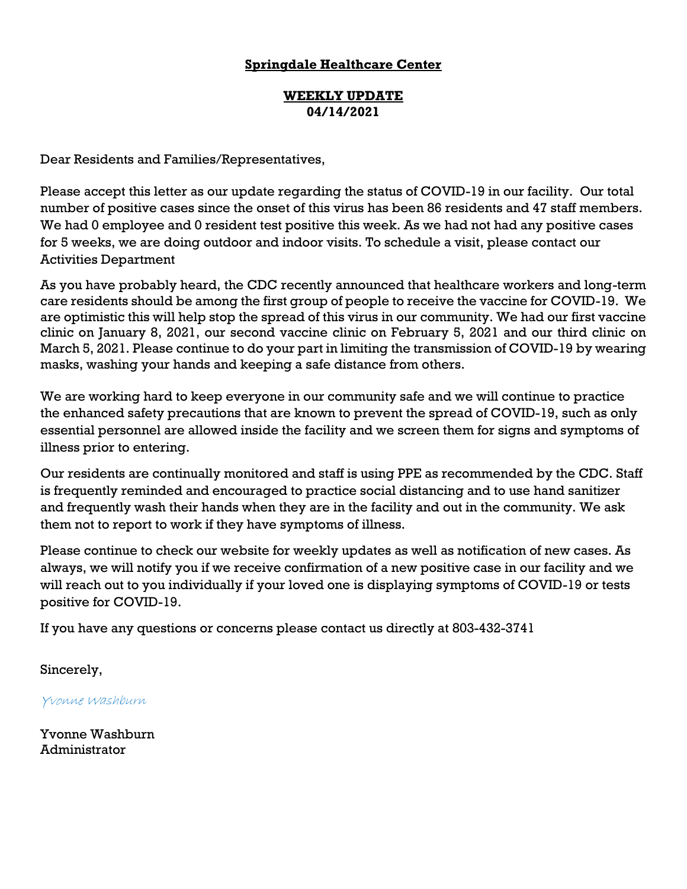#### **WEEKLY UPDATE 04/14/2021**

Dear Residents and Families/Representatives,

Please accept this letter as our update regarding the status of COVID-19 in our facility. Our total number of positive cases since the onset of this virus has been 86 residents and 47 staff members. We had 0 employee and 0 resident test positive this week. As we had not had any positive cases for 5 weeks, we are doing outdoor and indoor visits. To schedule a visit, please contact our Activities Department

As you have probably heard, the CDC recently announced that healthcare workers and long-term care residents should be among the first group of people to receive the vaccine for COVID-19. We are optimistic this will help stop the spread of this virus in our community. We had our first vaccine clinic on January 8, 2021, our second vaccine clinic on February 5, 2021 and our third clinic on March 5, 2021. Please continue to do your part in limiting the transmission of COVID-19 by wearing masks, washing your hands and keeping a safe distance from others.

We are working hard to keep everyone in our community safe and we will continue to practice the enhanced safety precautions that are known to prevent the spread of COVID-19, such as only essential personnel are allowed inside the facility and we screen them for signs and symptoms of illness prior to entering.

Our residents are continually monitored and staff is using PPE as recommended by the CDC. Staff is frequently reminded and encouraged to practice social distancing and to use hand sanitizer and frequently wash their hands when they are in the facility and out in the community. We ask them not to report to work if they have symptoms of illness.

Please continue to check our website for weekly updates as well as notification of new cases. As always, we will notify you if we receive confirmation of a new positive case in our facility and we will reach out to you individually if your loved one is displaying symptoms of COVID-19 or tests positive for COVID-19.

If you have any questions or concerns please contact us directly at 803-432-3741

Sincerely,

Yvonne Washburn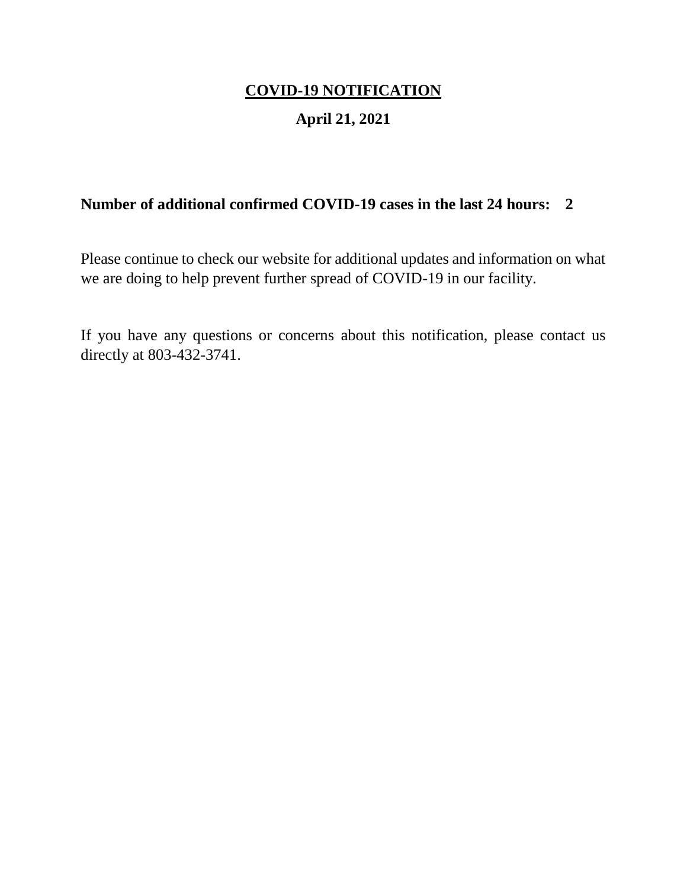## **April 21, 2021**

## **Number of additional confirmed COVID-19 cases in the last 24 hours: 2**

Please continue to check our website for additional updates and information on what we are doing to help prevent further spread of COVID-19 in our facility.

If you have any questions or concerns about this notification, please contact us directly at 803-432-3741.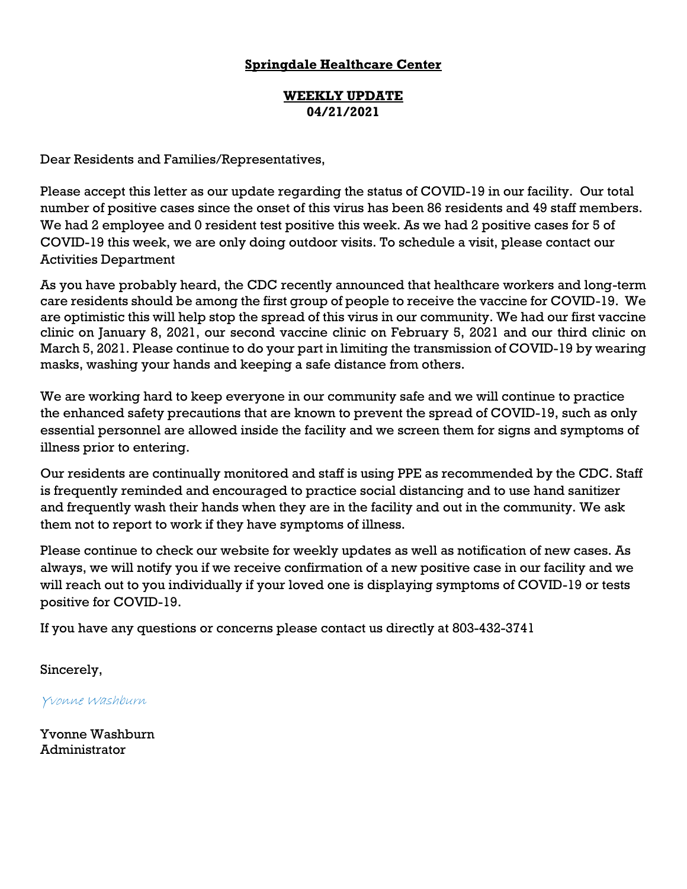#### **WEEKLY UPDATE 04/21/2021**

Dear Residents and Families/Representatives,

Please accept this letter as our update regarding the status of COVID-19 in our facility. Our total number of positive cases since the onset of this virus has been 86 residents and 49 staff members. We had 2 employee and 0 resident test positive this week. As we had 2 positive cases for 5 of COVID-19 this week, we are only doing outdoor visits. To schedule a visit, please contact our Activities Department

As you have probably heard, the CDC recently announced that healthcare workers and long-term care residents should be among the first group of people to receive the vaccine for COVID-19. We are optimistic this will help stop the spread of this virus in our community. We had our first vaccine clinic on January 8, 2021, our second vaccine clinic on February 5, 2021 and our third clinic on March 5, 2021. Please continue to do your part in limiting the transmission of COVID-19 by wearing masks, washing your hands and keeping a safe distance from others.

We are working hard to keep everyone in our community safe and we will continue to practice the enhanced safety precautions that are known to prevent the spread of COVID-19, such as only essential personnel are allowed inside the facility and we screen them for signs and symptoms of illness prior to entering.

Our residents are continually monitored and staff is using PPE as recommended by the CDC. Staff is frequently reminded and encouraged to practice social distancing and to use hand sanitizer and frequently wash their hands when they are in the facility and out in the community. We ask them not to report to work if they have symptoms of illness.

Please continue to check our website for weekly updates as well as notification of new cases. As always, we will notify you if we receive confirmation of a new positive case in our facility and we will reach out to you individually if your loved one is displaying symptoms of COVID-19 or tests positive for COVID-19.

If you have any questions or concerns please contact us directly at 803-432-3741

Sincerely,

Yvonne Washburn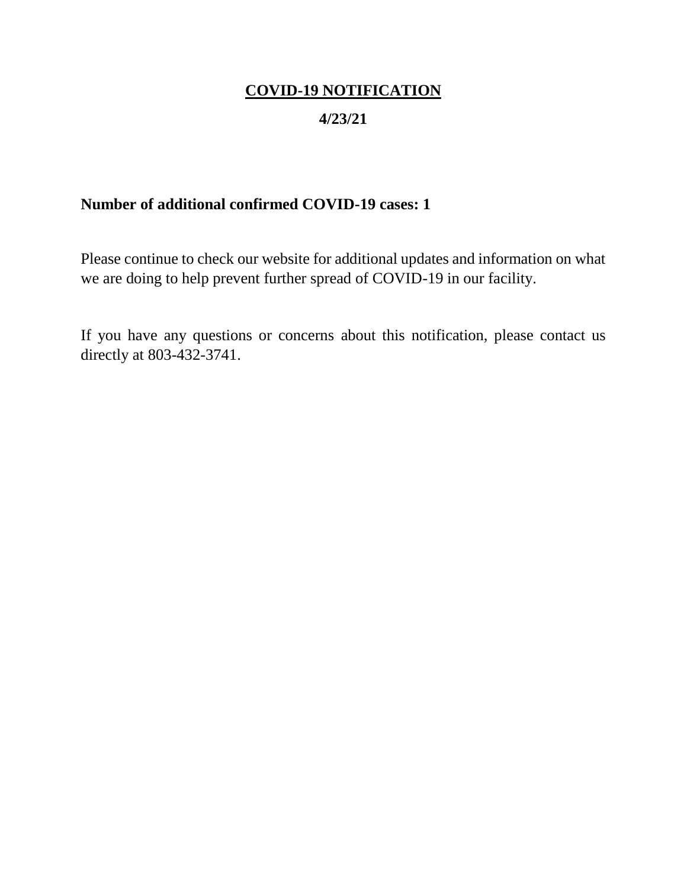## **4/23/21**

## **Number of additional confirmed COVID-19 cases: 1**

Please continue to check our website for additional updates and information on what we are doing to help prevent further spread of COVID-19 in our facility.

If you have any questions or concerns about this notification, please contact us directly at 803-432-3741.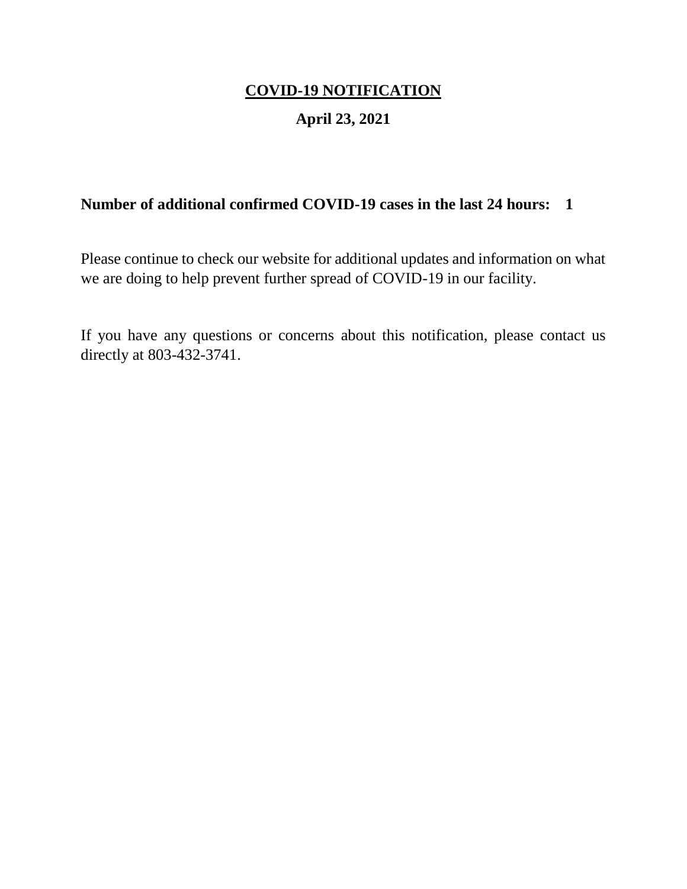## **April 23, 2021**

## **Number of additional confirmed COVID-19 cases in the last 24 hours: 1**

Please continue to check our website for additional updates and information on what we are doing to help prevent further spread of COVID-19 in our facility.

If you have any questions or concerns about this notification, please contact us directly at 803-432-3741.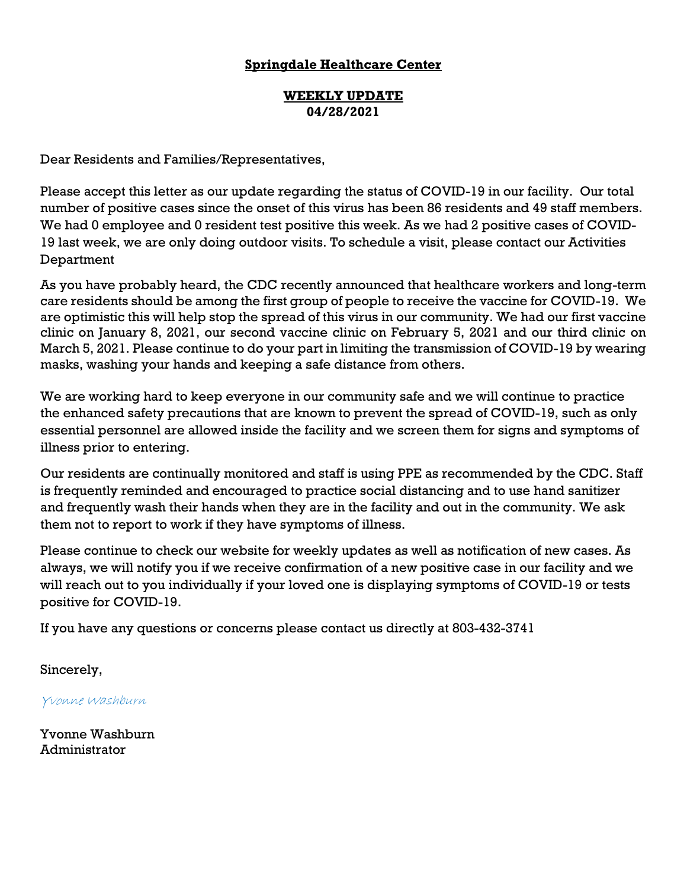#### **WEEKLY UPDATE 04/28/2021**

Dear Residents and Families/Representatives,

Please accept this letter as our update regarding the status of COVID-19 in our facility. Our total number of positive cases since the onset of this virus has been 86 residents and 49 staff members. We had 0 employee and 0 resident test positive this week. As we had 2 positive cases of COVID-19 last week, we are only doing outdoor visits. To schedule a visit, please contact our Activities Department

As you have probably heard, the CDC recently announced that healthcare workers and long-term care residents should be among the first group of people to receive the vaccine for COVID-19. We are optimistic this will help stop the spread of this virus in our community. We had our first vaccine clinic on January 8, 2021, our second vaccine clinic on February 5, 2021 and our third clinic on March 5, 2021. Please continue to do your part in limiting the transmission of COVID-19 by wearing masks, washing your hands and keeping a safe distance from others.

We are working hard to keep everyone in our community safe and we will continue to practice the enhanced safety precautions that are known to prevent the spread of COVID-19, such as only essential personnel are allowed inside the facility and we screen them for signs and symptoms of illness prior to entering.

Our residents are continually monitored and staff is using PPE as recommended by the CDC. Staff is frequently reminded and encouraged to practice social distancing and to use hand sanitizer and frequently wash their hands when they are in the facility and out in the community. We ask them not to report to work if they have symptoms of illness.

Please continue to check our website for weekly updates as well as notification of new cases. As always, we will notify you if we receive confirmation of a new positive case in our facility and we will reach out to you individually if your loved one is displaying symptoms of COVID-19 or tests positive for COVID-19.

If you have any questions or concerns please contact us directly at 803-432-3741

Sincerely,

Yvonne Washburn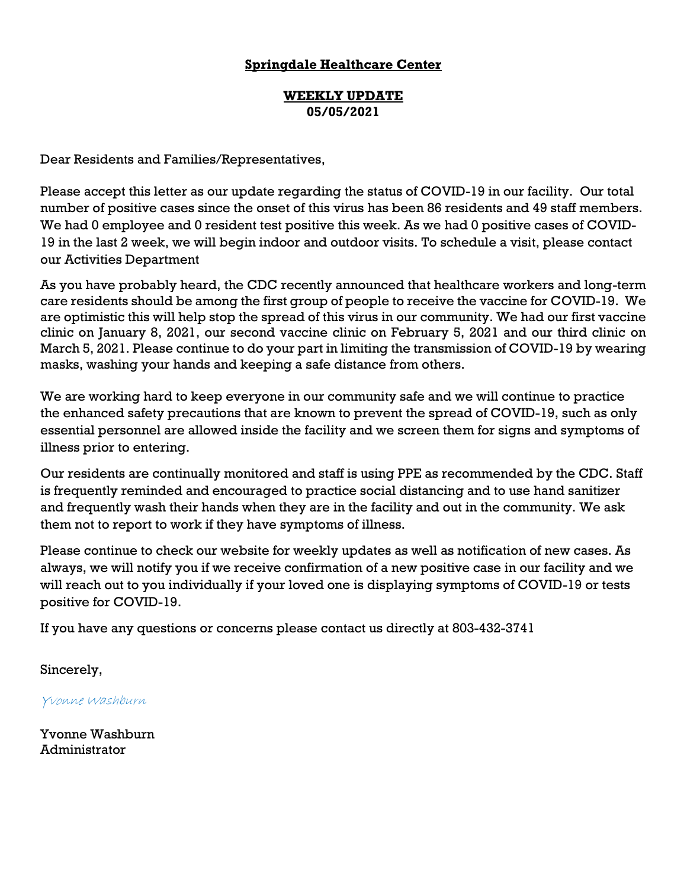#### **WEEKLY UPDATE 05/05/2021**

Dear Residents and Families/Representatives,

Please accept this letter as our update regarding the status of COVID-19 in our facility. Our total number of positive cases since the onset of this virus has been 86 residents and 49 staff members. We had 0 employee and 0 resident test positive this week. As we had 0 positive cases of COVID-19 in the last 2 week, we will begin indoor and outdoor visits. To schedule a visit, please contact our Activities Department

As you have probably heard, the CDC recently announced that healthcare workers and long-term care residents should be among the first group of people to receive the vaccine for COVID-19. We are optimistic this will help stop the spread of this virus in our community. We had our first vaccine clinic on January 8, 2021, our second vaccine clinic on February 5, 2021 and our third clinic on March 5, 2021. Please continue to do your part in limiting the transmission of COVID-19 by wearing masks, washing your hands and keeping a safe distance from others.

We are working hard to keep everyone in our community safe and we will continue to practice the enhanced safety precautions that are known to prevent the spread of COVID-19, such as only essential personnel are allowed inside the facility and we screen them for signs and symptoms of illness prior to entering.

Our residents are continually monitored and staff is using PPE as recommended by the CDC. Staff is frequently reminded and encouraged to practice social distancing and to use hand sanitizer and frequently wash their hands when they are in the facility and out in the community. We ask them not to report to work if they have symptoms of illness.

Please continue to check our website for weekly updates as well as notification of new cases. As always, we will notify you if we receive confirmation of a new positive case in our facility and we will reach out to you individually if your loved one is displaying symptoms of COVID-19 or tests positive for COVID-19.

If you have any questions or concerns please contact us directly at 803-432-3741

Sincerely,

Yvonne Washburn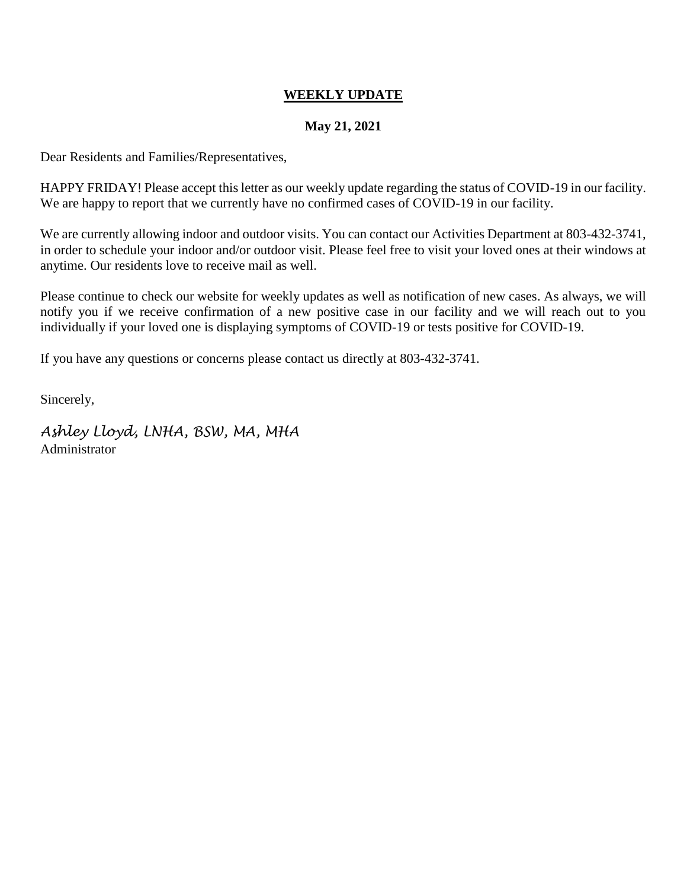#### **May 21, 2021**

Dear Residents and Families/Representatives,

HAPPY FRIDAY! Please accept this letter as our weekly update regarding the status of COVID-19 in our facility. We are happy to report that we currently have no confirmed cases of COVID-19 in our facility.

We are currently allowing indoor and outdoor visits. You can contact our Activities Department at 803-432-3741, in order to schedule your indoor and/or outdoor visit. Please feel free to visit your loved ones at their windows at anytime. Our residents love to receive mail as well.

Please continue to check our website for weekly updates as well as notification of new cases. As always, we will notify you if we receive confirmation of a new positive case in our facility and we will reach out to you individually if your loved one is displaying symptoms of COVID-19 or tests positive for COVID-19.

If you have any questions or concerns please contact us directly at 803-432-3741.

Sincerely,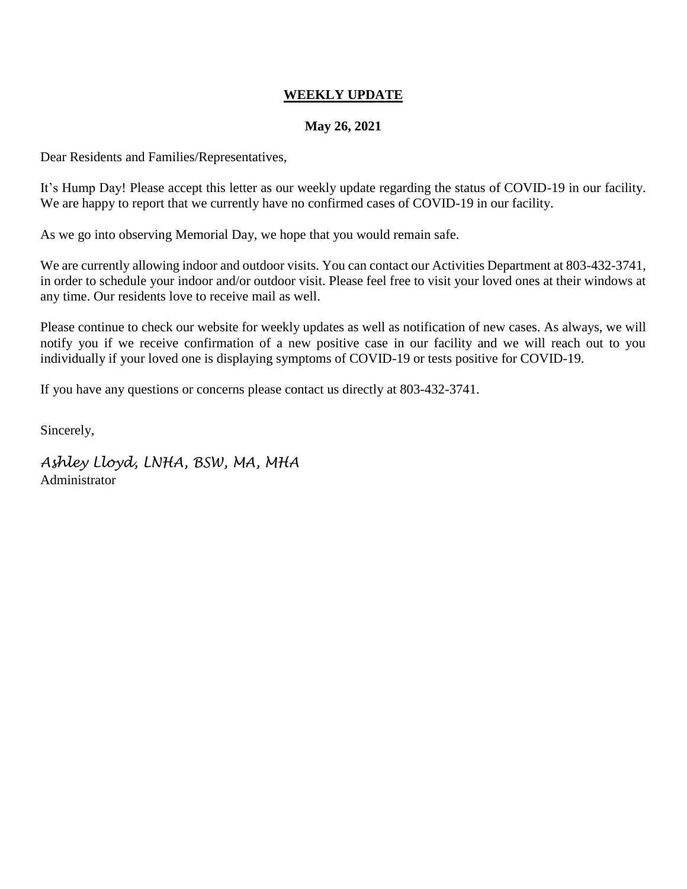#### **May 26, 2021**

Dear Residents and Families/Representatives,

It's Hump Day! Please accept this letter as our weekly update regarding the status of COVID-19 in our facility. We are happy to report that we currently have no confirmed cases of COVID-19 in our facility.

As we go into observing Memorial Day, we hope that you would remain safe.

We are currently allowing indoor and outdoor visits. You can contact our Activities Department at 803-432-3741, in order to schedule your indoor and/or outdoor visit. Please feel free to visit your loved ones at their windows at any time. Our residents love to receive mail as well.

Please continue to check our website for weekly updates as well as notification of new cases. As always, we will notify you if we receive confirmation of a new positive case in our facility and we will reach out to you individually if your loved one is displaying symptoms of COVID-19 or tests positive for COVID-19.

If you have any questions or concerns please contact us directly at 803-432-3741.

Sincerely,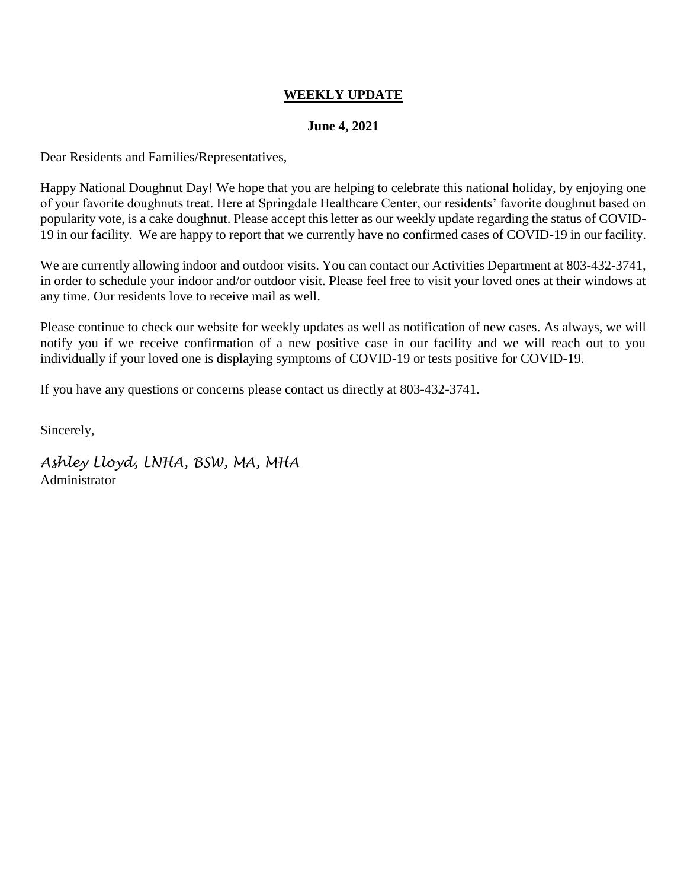#### **June 4, 2021**

Dear Residents and Families/Representatives,

Happy National Doughnut Day! We hope that you are helping to celebrate this national holiday, by enjoying one of your favorite doughnuts treat. Here at Springdale Healthcare Center, our residents' favorite doughnut based on popularity vote, is a cake doughnut. Please accept this letter as our weekly update regarding the status of COVID-19 in our facility. We are happy to report that we currently have no confirmed cases of COVID-19 in our facility.

We are currently allowing indoor and outdoor visits. You can contact our Activities Department at 803-432-3741, in order to schedule your indoor and/or outdoor visit. Please feel free to visit your loved ones at their windows at any time. Our residents love to receive mail as well.

Please continue to check our website for weekly updates as well as notification of new cases. As always, we will notify you if we receive confirmation of a new positive case in our facility and we will reach out to you individually if your loved one is displaying symptoms of COVID-19 or tests positive for COVID-19.

If you have any questions or concerns please contact us directly at 803-432-3741.

Sincerely,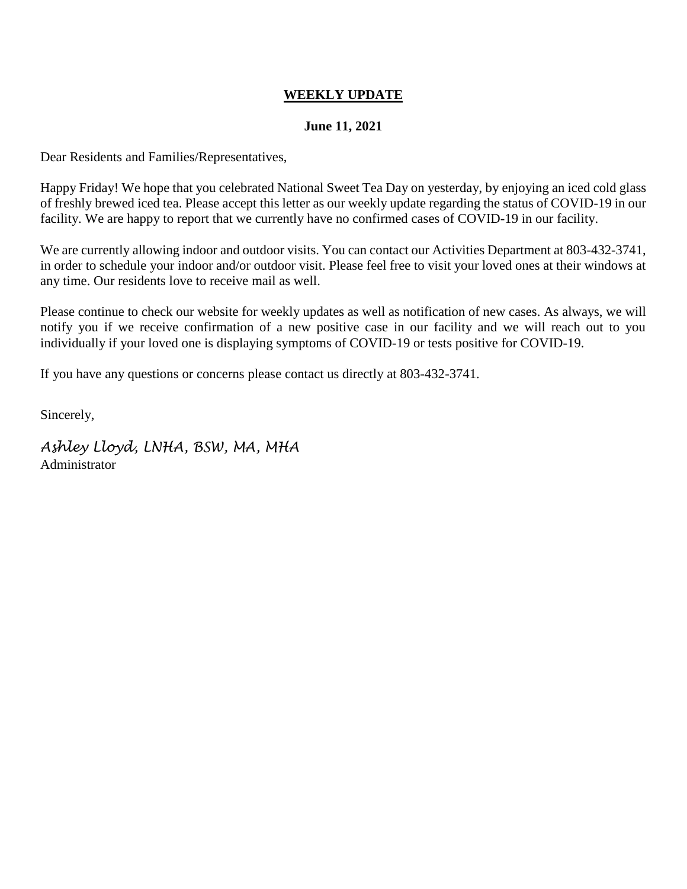#### **June 11, 2021**

Dear Residents and Families/Representatives,

Happy Friday! We hope that you celebrated National Sweet Tea Day on yesterday, by enjoying an iced cold glass of freshly brewed iced tea. Please accept this letter as our weekly update regarding the status of COVID-19 in our facility. We are happy to report that we currently have no confirmed cases of COVID-19 in our facility.

We are currently allowing indoor and outdoor visits. You can contact our Activities Department at 803-432-3741, in order to schedule your indoor and/or outdoor visit. Please feel free to visit your loved ones at their windows at any time. Our residents love to receive mail as well.

Please continue to check our website for weekly updates as well as notification of new cases. As always, we will notify you if we receive confirmation of a new positive case in our facility and we will reach out to you individually if your loved one is displaying symptoms of COVID-19 or tests positive for COVID-19.

If you have any questions or concerns please contact us directly at 803-432-3741.

Sincerely,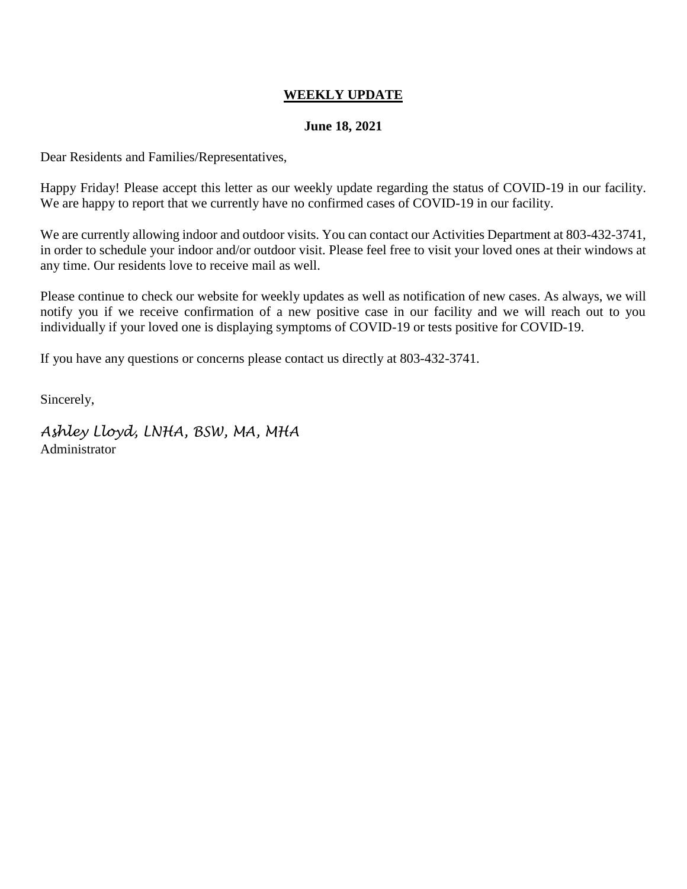#### **June 18, 2021**

Dear Residents and Families/Representatives,

Happy Friday! Please accept this letter as our weekly update regarding the status of COVID-19 in our facility. We are happy to report that we currently have no confirmed cases of COVID-19 in our facility.

We are currently allowing indoor and outdoor visits. You can contact our Activities Department at 803-432-3741, in order to schedule your indoor and/or outdoor visit. Please feel free to visit your loved ones at their windows at any time. Our residents love to receive mail as well.

Please continue to check our website for weekly updates as well as notification of new cases. As always, we will notify you if we receive confirmation of a new positive case in our facility and we will reach out to you individually if your loved one is displaying symptoms of COVID-19 or tests positive for COVID-19.

If you have any questions or concerns please contact us directly at 803-432-3741.

Sincerely,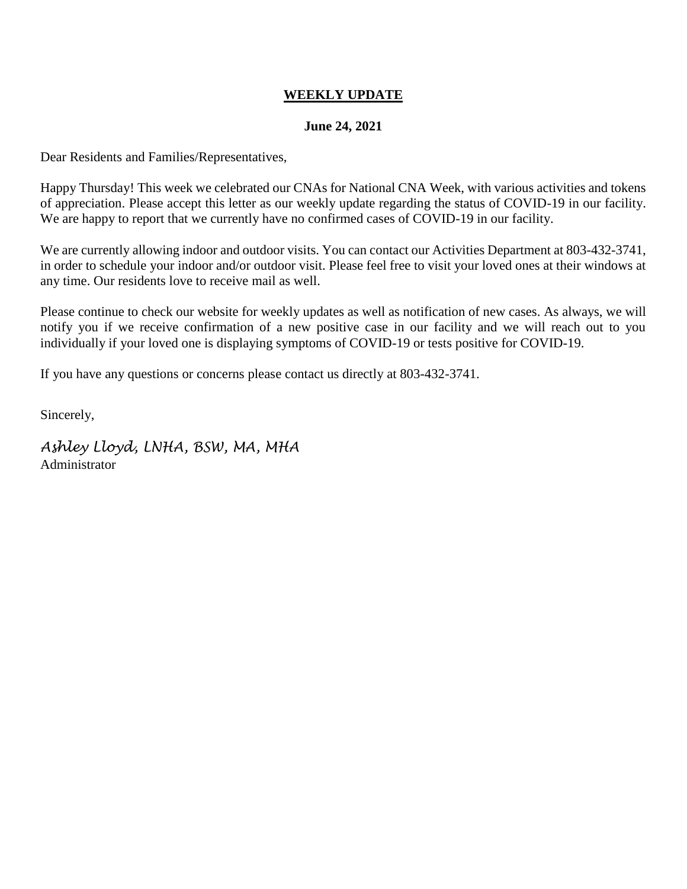#### **June 24, 2021**

Dear Residents and Families/Representatives,

Happy Thursday! This week we celebrated our CNAs for National CNA Week, with various activities and tokens of appreciation. Please accept this letter as our weekly update regarding the status of COVID-19 in our facility. We are happy to report that we currently have no confirmed cases of COVID-19 in our facility.

We are currently allowing indoor and outdoor visits. You can contact our Activities Department at 803-432-3741, in order to schedule your indoor and/or outdoor visit. Please feel free to visit your loved ones at their windows at any time. Our residents love to receive mail as well.

Please continue to check our website for weekly updates as well as notification of new cases. As always, we will notify you if we receive confirmation of a new positive case in our facility and we will reach out to you individually if your loved one is displaying symptoms of COVID-19 or tests positive for COVID-19.

If you have any questions or concerns please contact us directly at 803-432-3741.

Sincerely,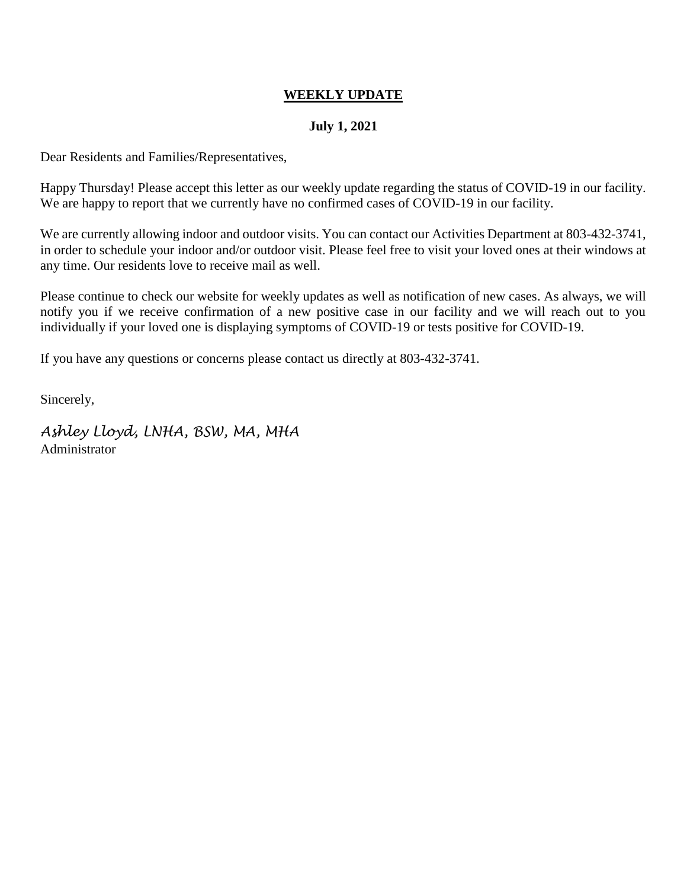#### **July 1, 2021**

Dear Residents and Families/Representatives,

Happy Thursday! Please accept this letter as our weekly update regarding the status of COVID-19 in our facility. We are happy to report that we currently have no confirmed cases of COVID-19 in our facility.

We are currently allowing indoor and outdoor visits. You can contact our Activities Department at 803-432-3741, in order to schedule your indoor and/or outdoor visit. Please feel free to visit your loved ones at their windows at any time. Our residents love to receive mail as well.

Please continue to check our website for weekly updates as well as notification of new cases. As always, we will notify you if we receive confirmation of a new positive case in our facility and we will reach out to you individually if your loved one is displaying symptoms of COVID-19 or tests positive for COVID-19.

If you have any questions or concerns please contact us directly at 803-432-3741.

Sincerely,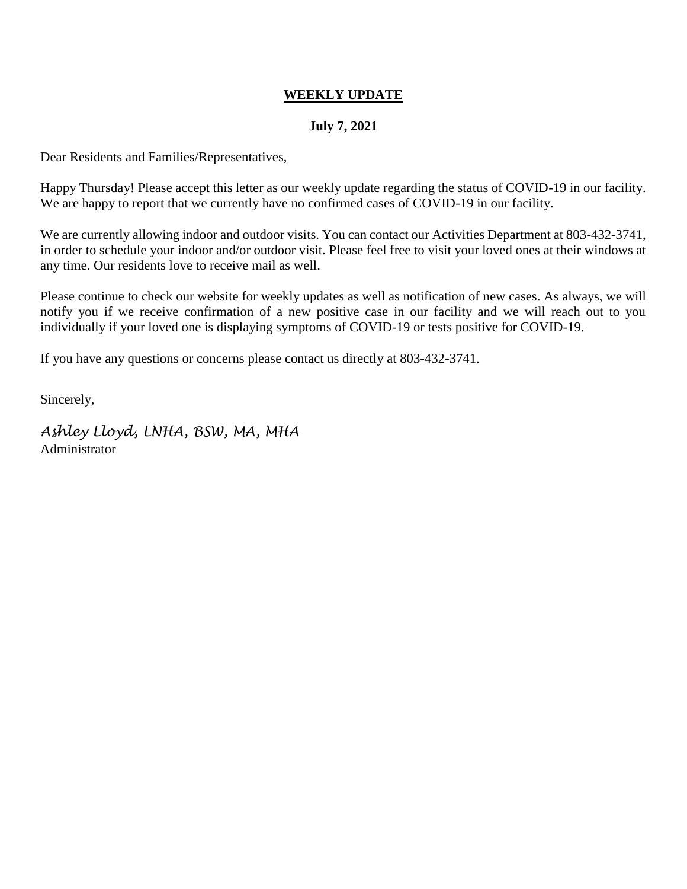#### **July 7, 2021**

Dear Residents and Families/Representatives,

Happy Thursday! Please accept this letter as our weekly update regarding the status of COVID-19 in our facility. We are happy to report that we currently have no confirmed cases of COVID-19 in our facility.

We are currently allowing indoor and outdoor visits. You can contact our Activities Department at 803-432-3741, in order to schedule your indoor and/or outdoor visit. Please feel free to visit your loved ones at their windows at any time. Our residents love to receive mail as well.

Please continue to check our website for weekly updates as well as notification of new cases. As always, we will notify you if we receive confirmation of a new positive case in our facility and we will reach out to you individually if your loved one is displaying symptoms of COVID-19 or tests positive for COVID-19.

If you have any questions or concerns please contact us directly at 803-432-3741.

Sincerely,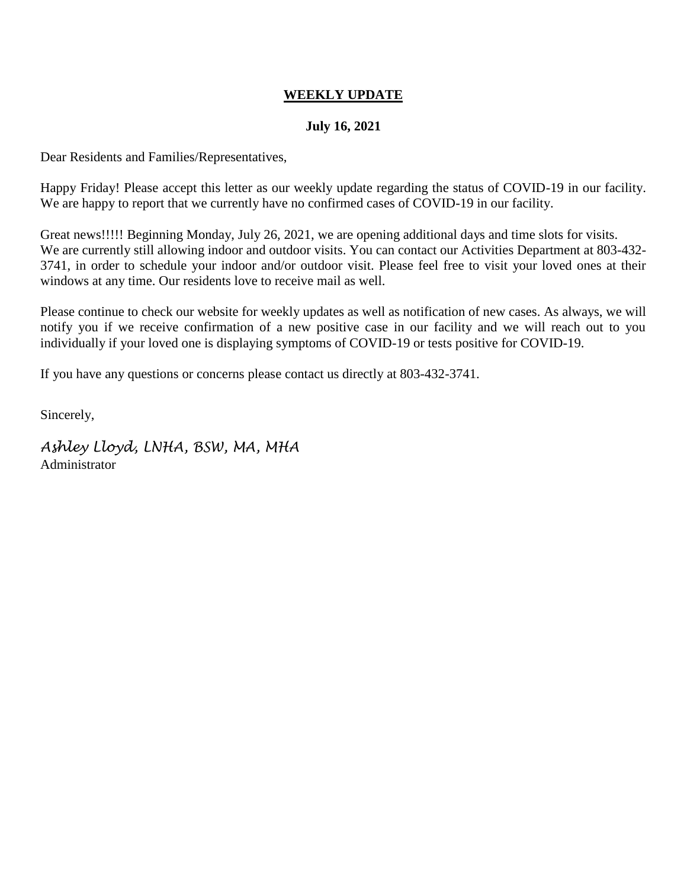#### **July 16, 2021**

Dear Residents and Families/Representatives,

Happy Friday! Please accept this letter as our weekly update regarding the status of COVID-19 in our facility. We are happy to report that we currently have no confirmed cases of COVID-19 in our facility.

Great news!!!!! Beginning Monday, July 26, 2021, we are opening additional days and time slots for visits. We are currently still allowing indoor and outdoor visits. You can contact our Activities Department at 803-432- 3741, in order to schedule your indoor and/or outdoor visit. Please feel free to visit your loved ones at their windows at any time. Our residents love to receive mail as well.

Please continue to check our website for weekly updates as well as notification of new cases. As always, we will notify you if we receive confirmation of a new positive case in our facility and we will reach out to you individually if your loved one is displaying symptoms of COVID-19 or tests positive for COVID-19.

If you have any questions or concerns please contact us directly at 803-432-3741.

Sincerely,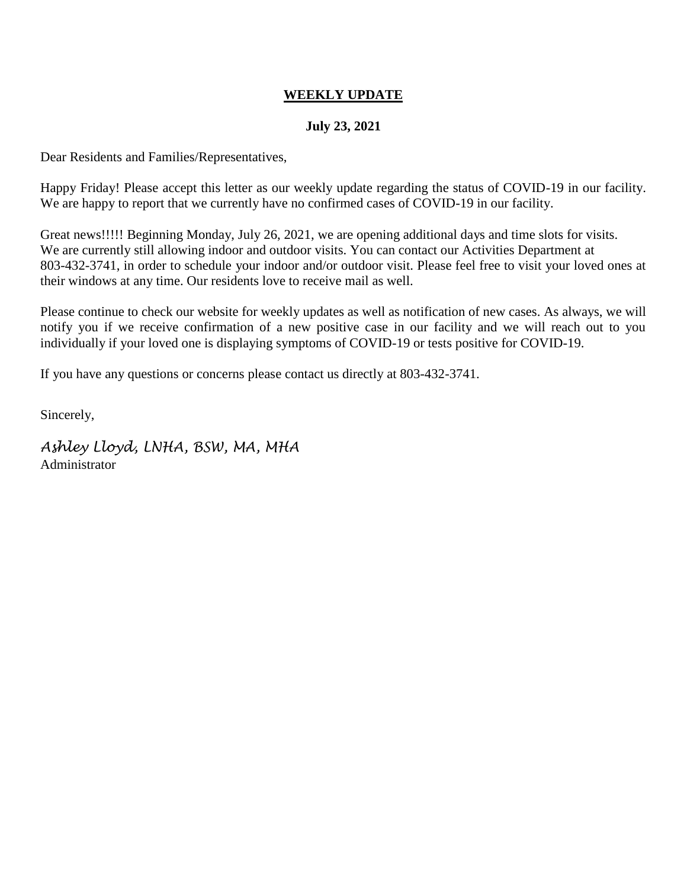#### **July 23, 2021**

Dear Residents and Families/Representatives,

Happy Friday! Please accept this letter as our weekly update regarding the status of COVID-19 in our facility. We are happy to report that we currently have no confirmed cases of COVID-19 in our facility.

Great news!!!!! Beginning Monday, July 26, 2021, we are opening additional days and time slots for visits. We are currently still allowing indoor and outdoor visits. You can contact our Activities Department at 803-432-3741, in order to schedule your indoor and/or outdoor visit. Please feel free to visit your loved ones at their windows at any time. Our residents love to receive mail as well.

Please continue to check our website for weekly updates as well as notification of new cases. As always, we will notify you if we receive confirmation of a new positive case in our facility and we will reach out to you individually if your loved one is displaying symptoms of COVID-19 or tests positive for COVID-19.

If you have any questions or concerns please contact us directly at 803-432-3741.

Sincerely,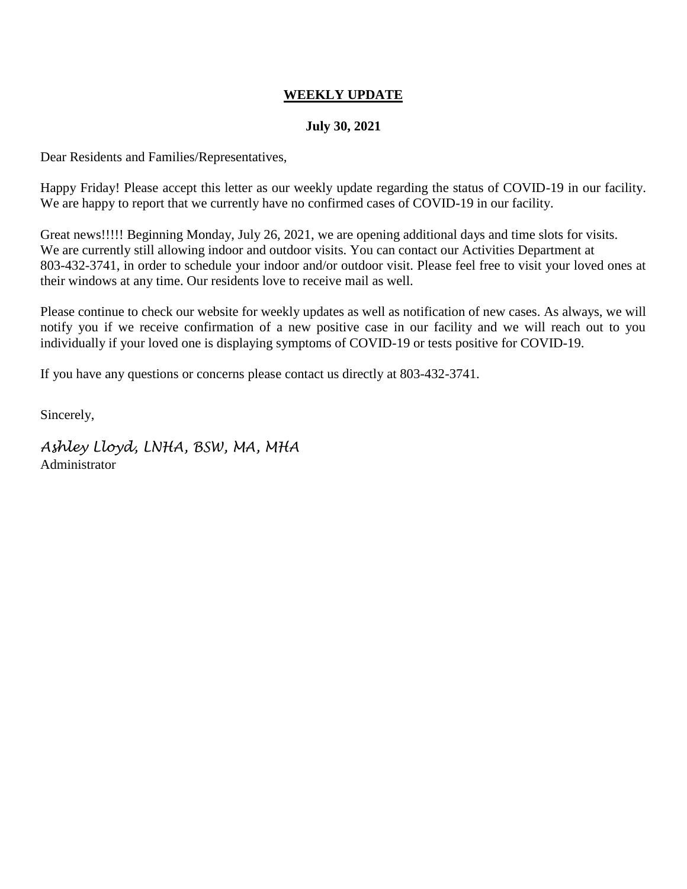#### **July 30, 2021**

Dear Residents and Families/Representatives,

Happy Friday! Please accept this letter as our weekly update regarding the status of COVID-19 in our facility. We are happy to report that we currently have no confirmed cases of COVID-19 in our facility.

Great news!!!!! Beginning Monday, July 26, 2021, we are opening additional days and time slots for visits. We are currently still allowing indoor and outdoor visits. You can contact our Activities Department at 803-432-3741, in order to schedule your indoor and/or outdoor visit. Please feel free to visit your loved ones at their windows at any time. Our residents love to receive mail as well.

Please continue to check our website for weekly updates as well as notification of new cases. As always, we will notify you if we receive confirmation of a new positive case in our facility and we will reach out to you individually if your loved one is displaying symptoms of COVID-19 or tests positive for COVID-19.

If you have any questions or concerns please contact us directly at 803-432-3741.

Sincerely,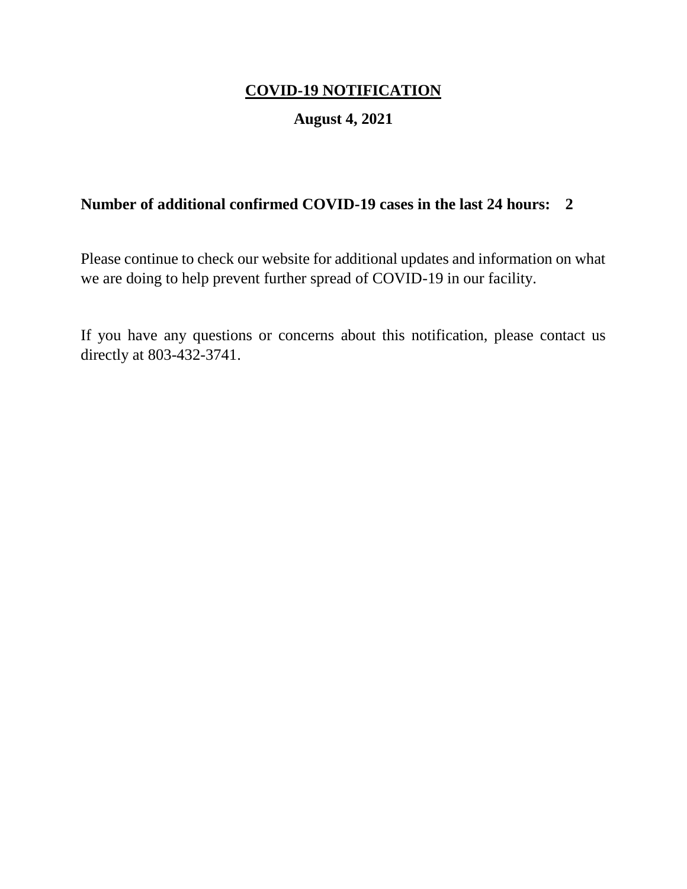## **August 4, 2021**

## **Number of additional confirmed COVID-19 cases in the last 24 hours: 2**

Please continue to check our website for additional updates and information on what we are doing to help prevent further spread of COVID-19 in our facility.

If you have any questions or concerns about this notification, please contact us directly at 803-432-3741.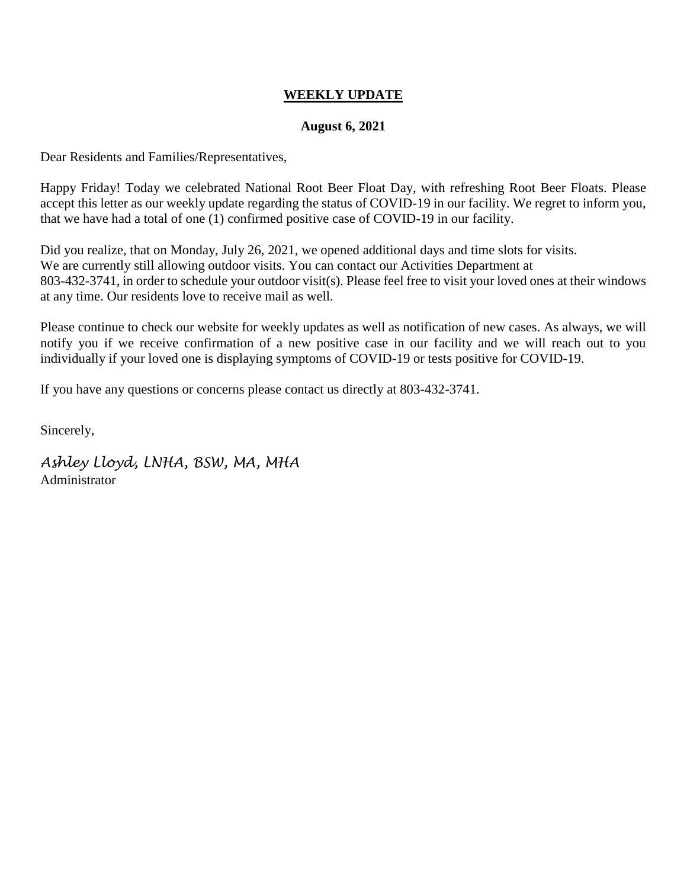#### **August 6, 2021**

Dear Residents and Families/Representatives,

Happy Friday! Today we celebrated National Root Beer Float Day, with refreshing Root Beer Floats. Please accept this letter as our weekly update regarding the status of COVID-19 in our facility. We regret to inform you, that we have had a total of one (1) confirmed positive case of COVID-19 in our facility.

Did you realize, that on Monday, July 26, 2021, we opened additional days and time slots for visits. We are currently still allowing outdoor visits. You can contact our Activities Department at 803-432-3741, in order to schedule your outdoor visit(s). Please feel free to visit your loved ones at their windows at any time. Our residents love to receive mail as well.

Please continue to check our website for weekly updates as well as notification of new cases. As always, we will notify you if we receive confirmation of a new positive case in our facility and we will reach out to you individually if your loved one is displaying symptoms of COVID-19 or tests positive for COVID-19.

If you have any questions or concerns please contact us directly at 803-432-3741.

Sincerely,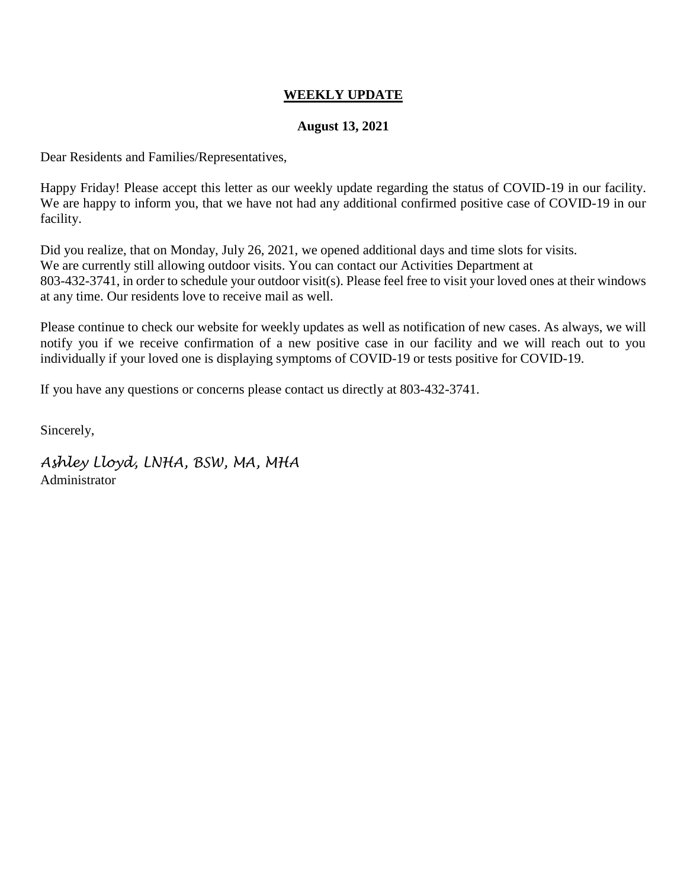#### **August 13, 2021**

Dear Residents and Families/Representatives,

Happy Friday! Please accept this letter as our weekly update regarding the status of COVID-19 in our facility. We are happy to inform you, that we have not had any additional confirmed positive case of COVID-19 in our facility.

Did you realize, that on Monday, July 26, 2021, we opened additional days and time slots for visits. We are currently still allowing outdoor visits. You can contact our Activities Department at 803-432-3741, in order to schedule your outdoor visit(s). Please feel free to visit your loved ones at their windows at any time. Our residents love to receive mail as well.

Please continue to check our website for weekly updates as well as notification of new cases. As always, we will notify you if we receive confirmation of a new positive case in our facility and we will reach out to you individually if your loved one is displaying symptoms of COVID-19 or tests positive for COVID-19.

If you have any questions or concerns please contact us directly at 803-432-3741.

Sincerely,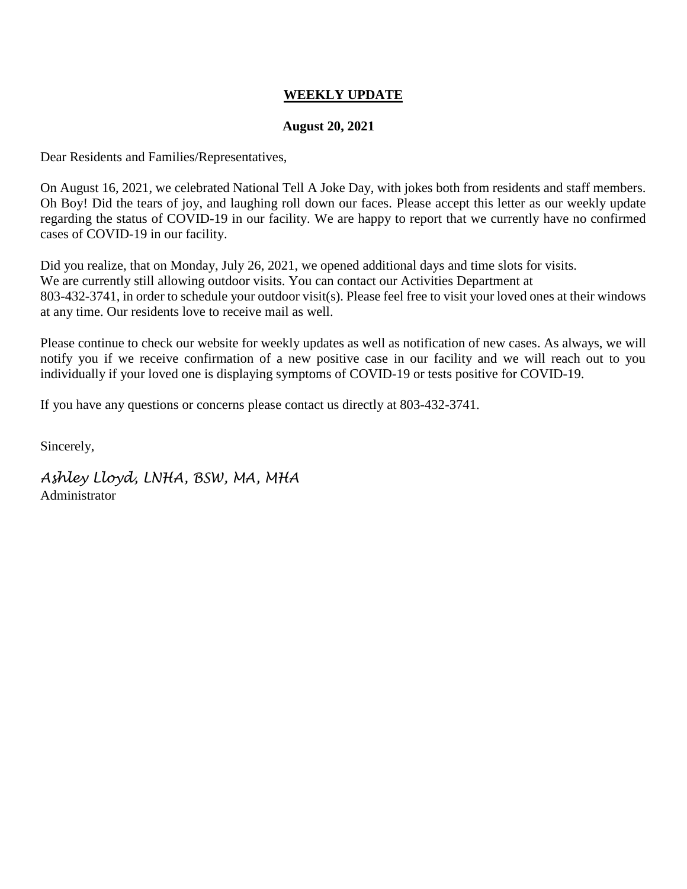#### **August 20, 2021**

Dear Residents and Families/Representatives,

On August 16, 2021, we celebrated National Tell A Joke Day, with jokes both from residents and staff members. Oh Boy! Did the tears of joy, and laughing roll down our faces. Please accept this letter as our weekly update regarding the status of COVID-19 in our facility. We are happy to report that we currently have no confirmed cases of COVID-19 in our facility.

Did you realize, that on Monday, July 26, 2021, we opened additional days and time slots for visits. We are currently still allowing outdoor visits. You can contact our Activities Department at 803-432-3741, in order to schedule your outdoor visit(s). Please feel free to visit your loved ones at their windows at any time. Our residents love to receive mail as well.

Please continue to check our website for weekly updates as well as notification of new cases. As always, we will notify you if we receive confirmation of a new positive case in our facility and we will reach out to you individually if your loved one is displaying symptoms of COVID-19 or tests positive for COVID-19.

If you have any questions or concerns please contact us directly at 803-432-3741.

Sincerely,